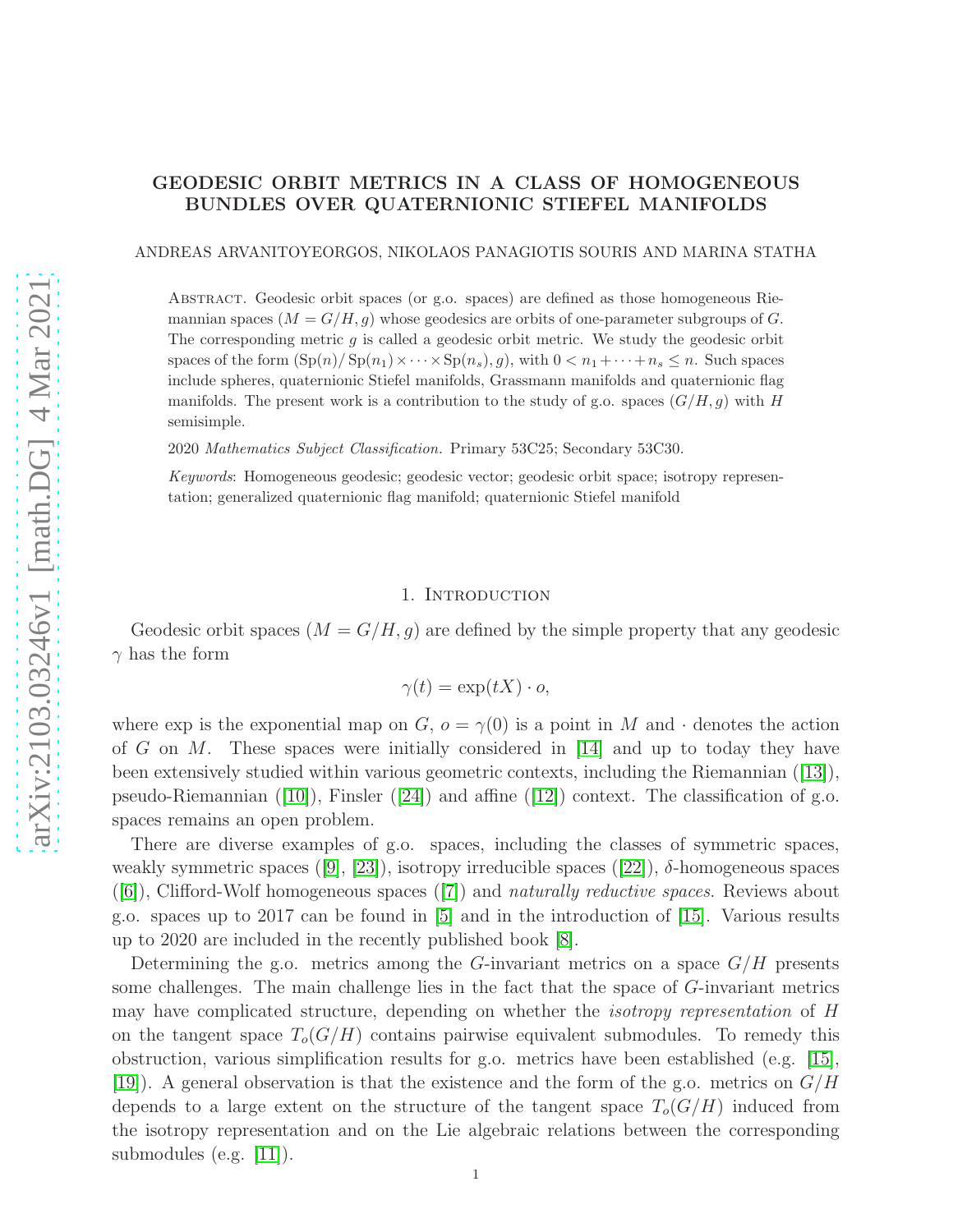# GEODESIC ORBIT METRICS IN A CLASS OF HOMOGENEOUS BUNDLES OVER QUATERNIONIC STIEFEL MANIFOLDS

### ANDREAS ARVANITOYEORGOS, NIKOLAOS PANAGIOTIS SOURIS AND MARINA STATHA

Abstract. Geodesic orbit spaces (or g.o. spaces) are defined as those homogeneous Riemannian spaces  $(M = G/H, q)$  whose geodesics are orbits of one-parameter subgroups of G. The corresponding metric  $g$  is called a geodesic orbit metric. We study the geodesic orbit spaces of the form  $(\text{Sp}(n)/\text{Sp}(n_1)\times\cdots\times\text{Sp}(n_s), g)$ , with  $0 < n_1+\cdots+n_s \leq n$ . Such spaces include spheres, quaternionic Stiefel manifolds, Grassmann manifolds and quaternionic flag manifolds. The present work is a contribution to the study of g.o. spaces  $(G/H, g)$  with H semisimple.

2020 Mathematics Subject Classification. Primary 53C25; Secondary 53C30.

Keywords: Homogeneous geodesic; geodesic vector; geodesic orbit space; isotropy representation; generalized quaternionic flag manifold; quaternionic Stiefel manifold

### 1. INTRODUCTION

Geodesic orbit spaces  $(M = G/H, g)$  are defined by the simple property that any geodesic  $\gamma$  has the form

$$
\gamma(t) = \exp(tX) \cdot o,
$$

where exp is the exponential map on  $G, o = \gamma(0)$  is a point in M and  $\cdot$  denotes the action of G on M. These spaces were initially considered in  $[14]$  and up to today they have been extensively studied within various geometric contexts, including the Riemannian ([\[13\]](#page-13-1)), pseudo-Riemannian  $([10])$  $([10])$  $([10])$ , Finsler  $([24])$  $([24])$  $([24])$  and affine  $([12])$  $([12])$  $([12])$  context. The classification of g.o. spaces remains an open problem.

There are diverse examples of g.o. spaces, including the classes of symmetric spaces, weakly symmetric spaces ([\[9\]](#page-13-5), [\[23\]](#page-13-6)), isotropy irreducible spaces ([\[22\]](#page-13-7)),  $\delta$ -homogeneous spaces ([\[6\]](#page-13-8)), Clifford-Wolf homogeneous spaces ([\[7\]](#page-13-9)) and naturally reductive spaces. Reviews about g.o. spaces up to 2017 can be found in [\[5\]](#page-13-10) and in the introduction of [\[15\]](#page-13-11). Various results up to 2020 are included in the recently published book [\[8\]](#page-13-12).

Determining the g.o. metrics among the G-invariant metrics on a space  $G/H$  presents some challenges. The main challenge lies in the fact that the space of G-invariant metrics may have complicated structure, depending on whether the isotropy representation of H on the tangent space  $T_o(G/H)$  contains pairwise equivalent submodules. To remedy this obstruction, various simplification results for g.o. metrics have been established (e.g. [\[15\]](#page-13-11), [\[19\]](#page-13-13)). A general observation is that the existence and the form of the g.o. metrics on  $G/H$ depends to a large extent on the structure of the tangent space  $T_o(G/H)$  induced from the isotropy representation and on the Lie algebraic relations between the corresponding submodules (e.g. [\[11\]](#page-13-14)).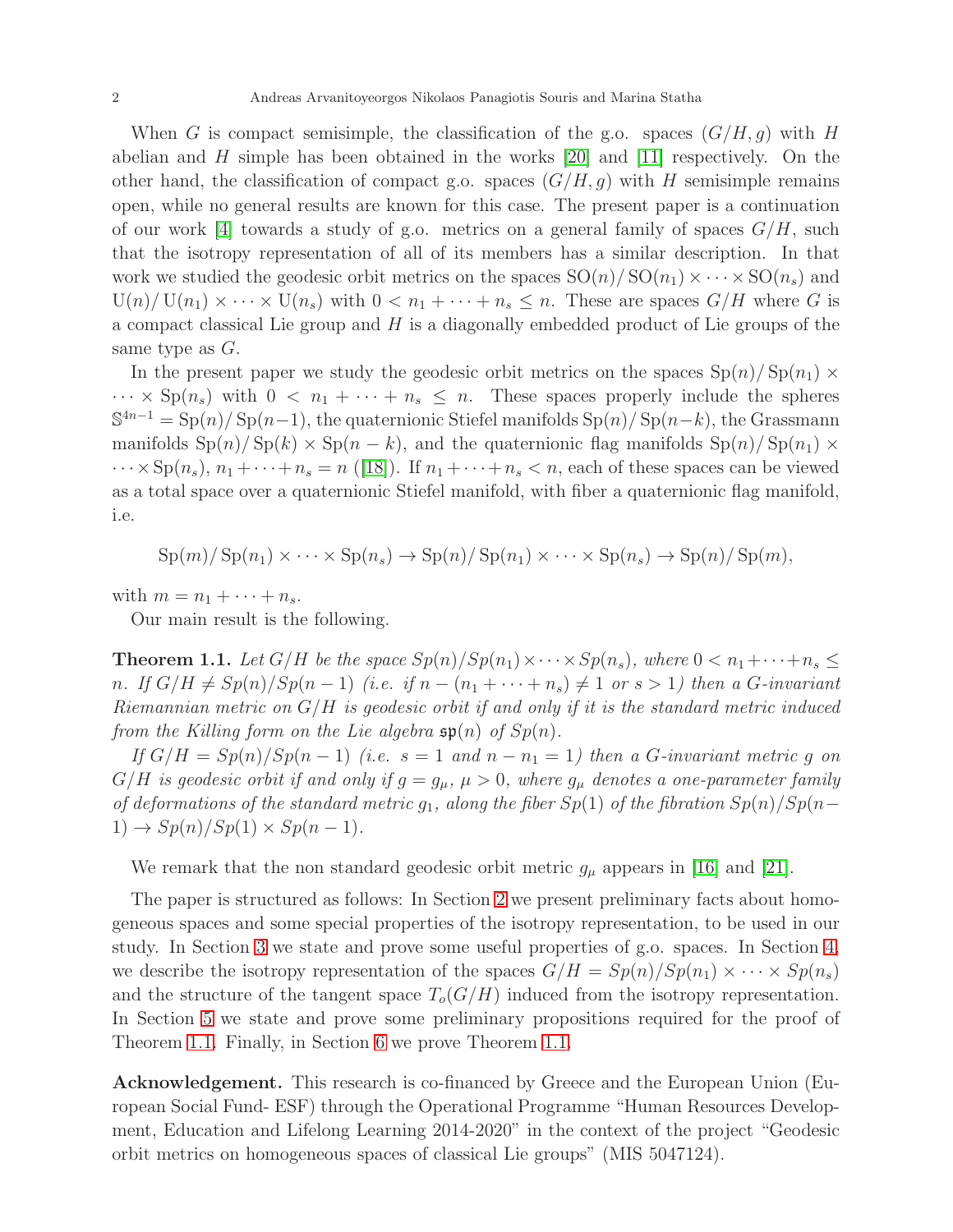When G is compact semisimple, the classification of the g.o. spaces  $(G/H, g)$  with H abelian and H simple has been obtained in the works [\[20\]](#page-13-15) and [\[11\]](#page-13-14) respectively. On the other hand, the classification of compact g.o. spaces  $(G/H, q)$  with H semisimple remains open, while no general results are known for this case. The present paper is a continuation of our work [\[4\]](#page-13-16) towards a study of g.o. metrics on a general family of spaces  $G/H$ , such that the isotropy representation of all of its members has a similar description. In that work we studied the geodesic orbit metrics on the spaces  $SO(n)/SO(n_1) \times \cdots \times SO(n_s)$  and  $U(n)/ U(n_1) \times \cdots \times U(n_s)$  with  $0 < n_1 + \cdots + n_s \leq n$ . These are spaces  $G/H$  where G is a compact classical Lie group and  $H$  is a diagonally embedded product of Lie groups of the same type as G.

In the present paper we study the geodesic orbit metrics on the spaces  $\text{Sp}(n)/\text{Sp}(n_1) \times$  $\cdots \times Sp(n_s)$  with  $0 \lt n_1 + \cdots + n_s \leq n$ . These spaces properly include the spheres  $S^{4n-1} = Sp(n)/Sp(n-1)$ , the quaternionic Stiefel manifolds  $Sp(n)/Sp(n-k)$ , the Grassmann manifolds  $\text{Sp}(n)/\text{Sp}(k) \times \text{Sp}(n-k)$ , and the quaternionic flag manifolds  $\text{Sp}(n)/\text{Sp}(n_1) \times$  $\cdots \times Sp(n_s)$ ,  $n_1 + \cdots + n_s = n$  ([\[18\]](#page-13-17)). If  $n_1 + \cdots + n_s < n$ , each of these spaces can be viewed as a total space over a quaternionic Stiefel manifold, with fiber a quaternionic flag manifold, i.e.

$$
\mathrm{Sp}(m)/\mathrm{Sp}(n_1)\times\cdots\times\mathrm{Sp}(n_s)\to\mathrm{Sp}(n)/\mathrm{Sp}(n_1)\times\cdots\times\mathrm{Sp}(n_s)\to\mathrm{Sp}(n)/\mathrm{Sp}(m),
$$

with  $m = n_1 + \cdots + n_s$ .

Our main result is the following.

<span id="page-1-0"></span>**Theorem 1.1.** Let  $G/H$  be the space  $Sp(n)/Sp(n_1) \times \cdots \times Sp(n_s)$ , where  $0 < n_1 + \cdots + n_s \le$ n. If  $G/H \neq Sp(n)/Sp(n-1)$  (i.e. if  $n-(n_1+\cdots+n_s) \neq 1$  or  $s>1$ ) then a G-invariant Riemannian metric on  $G/H$  is geodesic orbit if and only if it is the standard metric induced from the Killing form on the Lie algebra  $\mathfrak{sp}(n)$  of  $Sp(n)$ .

If  $G/H = Sp(n)/Sp(n-1)$  (i.e.  $s = 1$  and  $n - n_1 = 1$ ) then a G-invariant metric g on  $G/H$  is geodesic orbit if and only if  $g = g_\mu$ ,  $\mu > 0$ , where  $g_\mu$  denotes a one-parameter family of deformations of the standard metric  $g_1$ , along the fiber  $Sp(1)$  of the fibration  $Sp(n)/Sp(n 1) \rightarrow Sp(n)/Sp(1) \times Sp(n-1).$ 

We remark that the non standard geodesic orbit metric  $g_{\mu}$  appears in [\[16\]](#page-13-18) and [\[21\]](#page-13-19).

The paper is structured as follows: In Section [2](#page-2-0) we present preliminary facts about homogeneous spaces and some special properties of the isotropy representation, to be used in our study. In Section [3](#page-3-0) we state and prove some useful properties of g.o. spaces. In Section [4,](#page-5-0) we describe the isotropy representation of the spaces  $G/H = Sp(n)/Sp(n_1) \times \cdots \times Sp(n_s)$ and the structure of the tangent space  $T_o(G/H)$  induced from the isotropy representation. In Section [5](#page-9-0) we state and prove some preliminary propositions required for the proof of Theorem [1.1.](#page-1-0) Finally, in Section [6](#page-12-0) we prove Theorem [1.1.](#page-1-0)

Acknowledgement. This research is co-financed by Greece and the European Union (European Social Fund- ESF) through the Operational Programme "Human Resources Development, Education and Lifelong Learning 2014-2020" in the context of the project "Geodesic orbit metrics on homogeneous spaces of classical Lie groups" (MIS 5047124).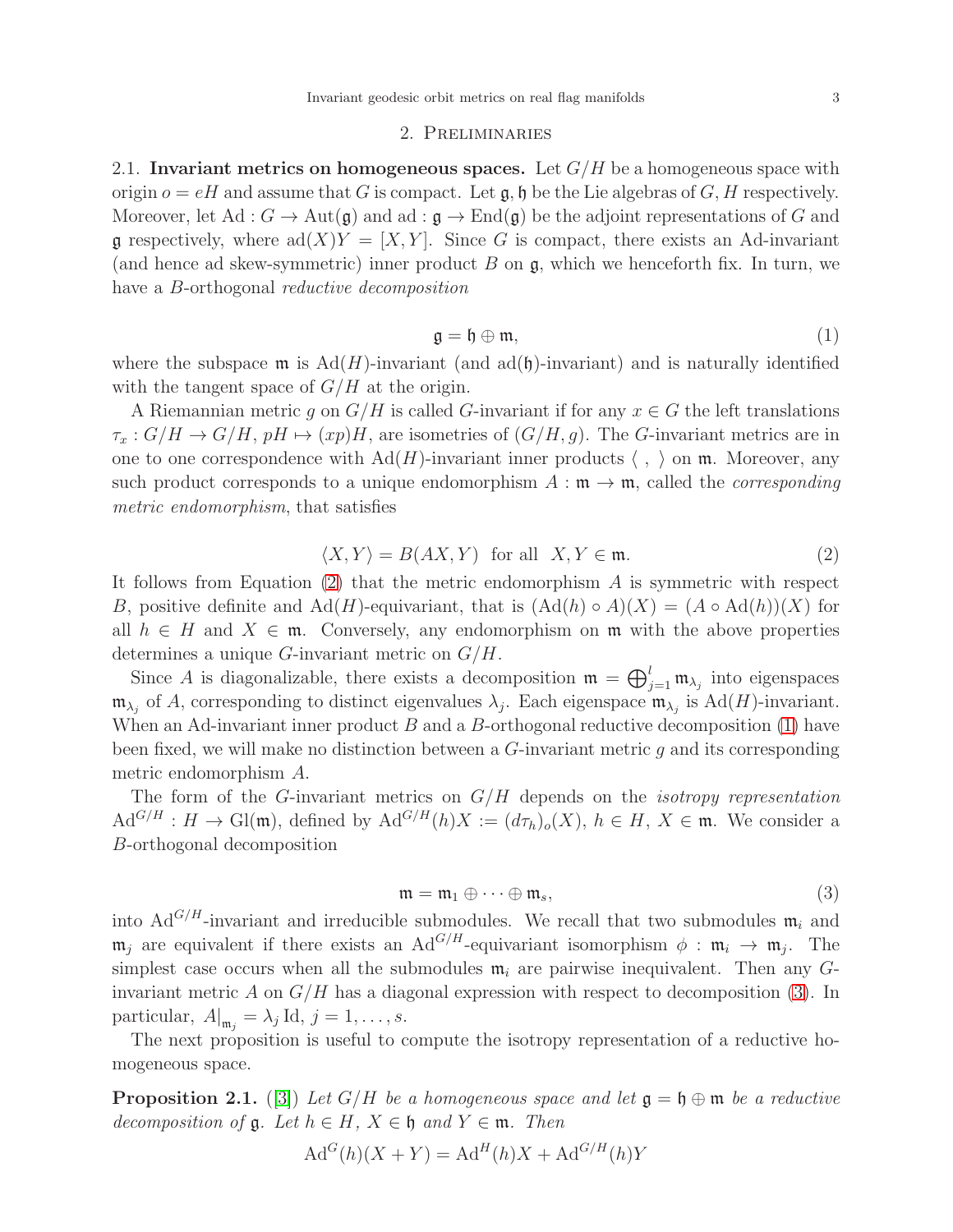#### 2. Preliminaries

<span id="page-2-0"></span>2.1. Invariant metrics on homogeneous spaces. Let  $G/H$  be a homogeneous space with origin  $o = eH$  and assume that G is compact. Let  $\mathfrak{g}, \mathfrak{h}$  be the Lie algebras of G, H respectively. Moreover, let Ad :  $G \to \text{Aut}(\mathfrak{g})$  and ad :  $\mathfrak{g} \to \text{End}(\mathfrak{g})$  be the adjoint representations of G and g respectively, where  $ad(X)Y = [X, Y]$ . Since G is compact, there exists an Ad-invariant (and hence ad skew-symmetric) inner product  $B$  on  $\mathfrak{g}$ , which we henceforth fix. In turn, we have a *B*-orthogonal *reductive decomposition* 

<span id="page-2-2"></span>
$$
\mathfrak{g} = \mathfrak{h} \oplus \mathfrak{m},\tag{1}
$$

where the subspace  $\mathfrak{m}$  is  $Ad(H)$ -invariant (and  $ad(\mathfrak{h})$ -invariant) and is naturally identified with the tangent space of  $G/H$  at the origin.

A Riemannian metric q on  $G/H$  is called G-invariant if for any  $x \in G$  the left translations  $\tau_x : G/H \to G/H$ ,  $pH \mapsto (xp)H$ , are isometries of  $(G/H, g)$ . The G-invariant metrics are in one to one correspondence with  $\text{Ad}(H)$ -invariant inner products  $\langle , \rangle$  on m. Moreover, any such product corresponds to a unique endomorphism  $A : \mathfrak{m} \to \mathfrak{m}$ , called the *corresponding* metric endomorphism, that satisfies

<span id="page-2-1"></span>
$$
\langle X, Y \rangle = B(AX, Y) \text{ for all } X, Y \in \mathfrak{m}.
$$
 (2)

It follows from Equation  $(2)$  that the metric endomorphism  $A$  is symmetric with respect B, positive definite and Ad(H)-equivariant, that is  $(Ad(h) \circ A)(X) = (A \circ Ad(h))(X)$  for all  $h \in H$  and  $X \in \mathfrak{m}$ . Conversely, any endomorphism on  $\mathfrak{m}$  with the above properties determines a unique  $G$ -invariant metric on  $G/H$ .

Since A is diagonalizable, there exists a decomposition  $\mathfrak{m} = \bigoplus_{j=1}^{l} \mathfrak{m}_{\lambda_j}$  into eigenspaces  $\mathfrak{m}_{\lambda_j}$  of A, corresponding to distinct eigenvalues  $\lambda_j$ . Each eigenspace  $\mathfrak{m}_{\lambda_j}$  is Ad(H)-invariant. When an Ad-invariant inner product  $B$  and a  $B$ -orthogonal reductive decomposition [\(1\)](#page-2-2) have been fixed, we will make no distinction between a G-invariant metric g and its corresponding metric endomorphism A.

The form of the  $G$ -invariant metrics on  $G/H$  depends on the *isotropy representation*  $\text{Ad}^{G/H}: H \to \text{Gl}(\mathfrak{m})$ , defined by  $\text{Ad}^{G/H}(h)X := (d\tau_h)_{\text{o}}(X), h \in H, X \in \mathfrak{m}$ . We consider a B-orthogonal decomposition

<span id="page-2-3"></span>
$$
\mathfrak{m} = \mathfrak{m}_1 \oplus \cdots \oplus \mathfrak{m}_s,\tag{3}
$$

into Ad<sup>G/H</sup>-invariant and irreducible submodules. We recall that two submodules  $m_i$  and  $\mathfrak{m}_j$  are equivalent if there exists an Ad<sup>G/H</sup>-equivariant isomorphism  $\phi : \mathfrak{m}_i \to \mathfrak{m}_j$ . The simplest case occurs when all the submodules  $\mathfrak{m}_i$  are pairwise inequivalent. Then any Ginvariant metric A on  $G/H$  has a diagonal expression with respect to decomposition [\(3\)](#page-2-3). In particular,  $A|_{\mathfrak{m}_j} = \lambda_j \mathrm{Id}, j = 1, \ldots, s.$ 

The next proposition is useful to compute the isotropy representation of a reductive homogeneous space.

<span id="page-2-4"></span>**Proposition 2.1.** ([\[3\]](#page-13-20)) Let  $G/H$  be a homogeneous space and let  $\mathfrak{g} = \mathfrak{h} \oplus \mathfrak{m}$  be a reductive decomposition of  $\mathfrak{g}$ . Let  $h \in H$ ,  $X \in \mathfrak{h}$  and  $Y \in \mathfrak{m}$ . Then

$$
AdG(h)(X+Y) = AdH(h)X + AdG/H(h)Y
$$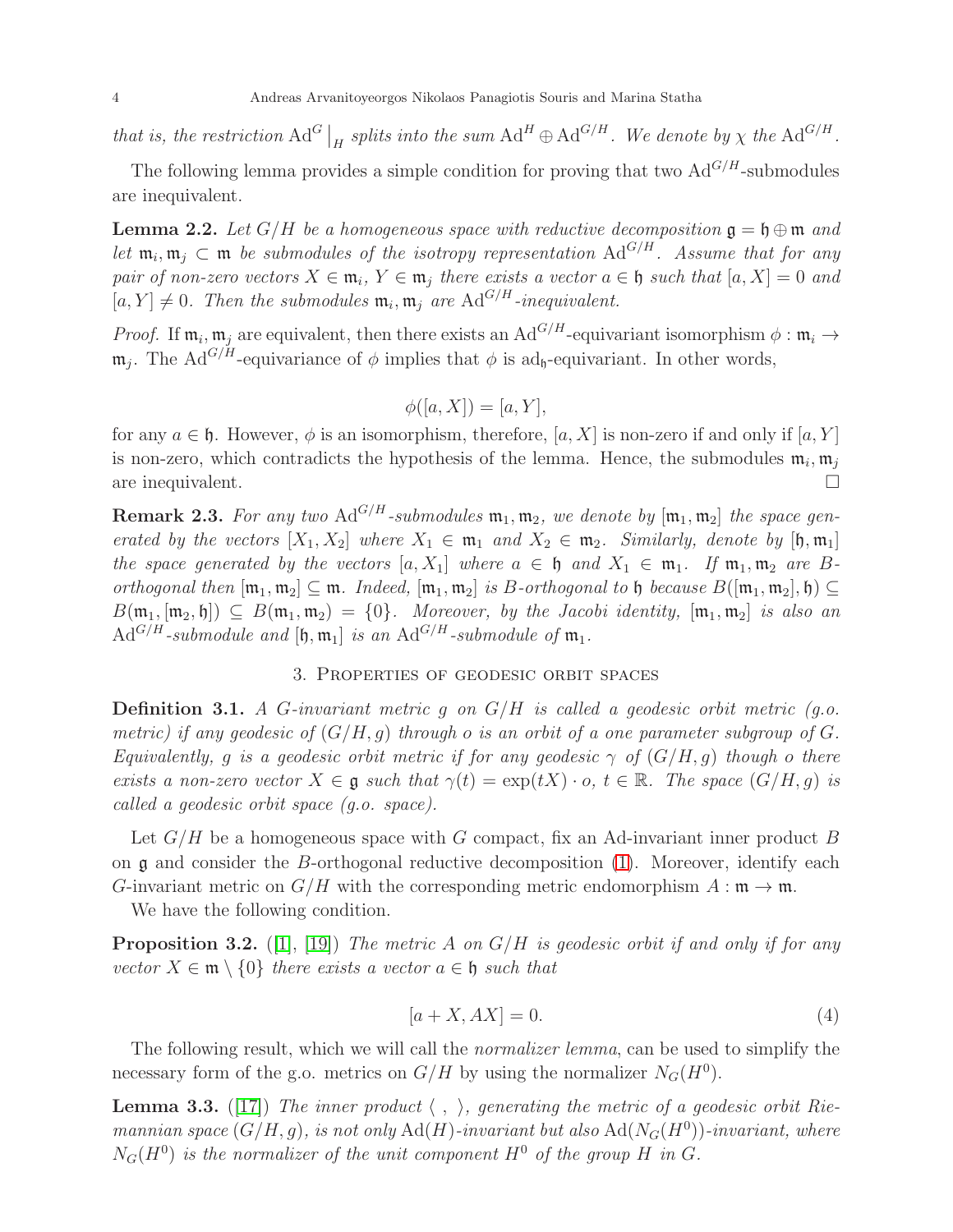that is, the restriction  $Ad^G\big|_H$  splits into the sum  $Ad^H \oplus Ad^{G/H}$ . We denote by  $\chi$  the  $Ad^{G/H}$ .

The following lemma provides a simple condition for proving that two  $\text{Ad}^{G/H}$ -submodules are inequivalent.

<span id="page-3-3"></span>**Lemma 2.2.** Let  $G/H$  be a homogeneous space with reductive decomposition  $\mathfrak{g} = \mathfrak{h} \oplus \mathfrak{m}$  and let  $\mathfrak{m}_i, \mathfrak{m}_j \subset \mathfrak{m}$  be submodules of the isotropy representation  $\text{Ad}^{G/H}$ . Assume that for any pair of non-zero vectors  $X \in \mathfrak{m}_i$ ,  $Y \in \mathfrak{m}_j$  there exists a vector  $a \in \mathfrak{h}$  such that  $[a, X] = 0$  and  $[a, Y] \neq 0$ . Then the submodules  $\mathfrak{m}_i, \mathfrak{m}_j$  are  $\text{Ad}^{G/H}$ -inequivalent.

*Proof.* If  $\mathfrak{m}_i, \mathfrak{m}_j$  are equivalent, then there exists an Ad<sup>G/H</sup>-equivariant isomorphism  $\phi : \mathfrak{m}_i \to$  $\mathfrak{m}_j$ . The Ad<sup>G/H</sup>-equivariance of  $\phi$  implies that  $\phi$  is ad<sub>h</sub>-equivariant. In other words,

$$
\phi([a, X]) = [a, Y],
$$

for any  $a \in \mathfrak{h}$ . However,  $\phi$  is an isomorphism, therefore, [a, X] is non-zero if and only if [a, Y] is non-zero, which contradicts the hypothesis of the lemma. Hence, the submodules  $\mathfrak{m}_i, \mathfrak{m}_j$ are inequivalent.

**Remark 2.3.** For any two Ad<sup>G/H</sup>-submodules  $\mathfrak{m}_1, \mathfrak{m}_2$ , we denote by  $[\mathfrak{m}_1, \mathfrak{m}_2]$  the space generated by the vectors  $[X_1, X_2]$  where  $X_1 \in \mathfrak{m}_1$  and  $X_2 \in \mathfrak{m}_2$ . Similarly, denote by  $[\mathfrak{h}, \mathfrak{m}_1]$ the space generated by the vectors  $[a, X_1]$  where  $a \in \mathfrak{h}$  and  $X_1 \in \mathfrak{m}_1$ . If  $\mathfrak{m}_1, \mathfrak{m}_2$  are Borthogonal then  $[\mathfrak{m}_1, \mathfrak{m}_2] \subseteq \mathfrak{m}$ . Indeed,  $[\mathfrak{m}_1, \mathfrak{m}_2]$  is B-orthogonal to  $\mathfrak{h}$  because  $B([\mathfrak{m}_1, \mathfrak{m}_2], \mathfrak{h}) \subseteq$  $B(\mathfrak{m}_1, [\mathfrak{m}_2, \mathfrak{h}]) \subseteq B(\mathfrak{m}_1, \mathfrak{m}_2) = \{0\}.$  Moreover, by the Jacobi identity,  $[\mathfrak{m}_1, \mathfrak{m}_2]$  is also an  $Ad^{G/H}$ -submodule and  $[\mathfrak{h}, \mathfrak{m}_1]$  is an  $Ad^{G/H}$ -submodule of  $\mathfrak{m}_1$ .

### 3. Properties of geodesic orbit spaces

<span id="page-3-0"></span>**Definition 3.1.** A G-invariant metric  $g$  on  $G/H$  is called a geodesic orbit metric  $(g.o.$ metric) if any geodesic of  $(G/H, q)$  through o is an orbit of a one parameter subgroup of G. Equivalently, g is a geodesic orbit metric if for any geodesic  $\gamma$  of  $(G/H, g)$  though o there exists a non-zero vector  $X \in \mathfrak{g}$  such that  $\gamma(t) = \exp(tX) \cdot o, t \in \mathbb{R}$ . The space  $(G/H, g)$  is called a geodesic orbit space (g.o. space).

Let  $G/H$  be a homogeneous space with G compact, fix an Ad-invariant inner product B on  $\mathfrak g$  and consider the B-orthogonal reductive decomposition [\(1\)](#page-2-2). Moreover, identify each G-invariant metric on  $G/H$  with the corresponding metric endomorphism  $A : \mathfrak{m} \to \mathfrak{m}$ .

We have the following condition.

<span id="page-3-1"></span>**Proposition 3.2.** ([\[1\]](#page-13-21), [\[19\]](#page-13-13)) The metric A on  $G/H$  is geodesic orbit if and only if for any vector  $X \in \mathfrak{m} \setminus \{0\}$  there exists a vector  $a \in \mathfrak{h}$  such that

$$
[a+X, AX] = 0.\t\t(4)
$$

The following result, which we will call the *normalizer lemma*, can be used to simplify the necessary form of the g.o. metrics on  $G/H$  by using the normalizer  $N_G(H^0)$ .

<span id="page-3-2"></span>**Lemma 3.3.** ([\[17\]](#page-13-22)) The inner product  $\langle , \rangle$ , generating the metric of a geodesic orbit Riemannian space  $(G/H, g)$ , is not only  $\text{Ad}(H)$ -invariant but also  $\text{Ad}(N_G(H^0))$ -invariant, where  $N_G(H^0)$  is the normalizer of the unit component  $H^0$  of the group H in G.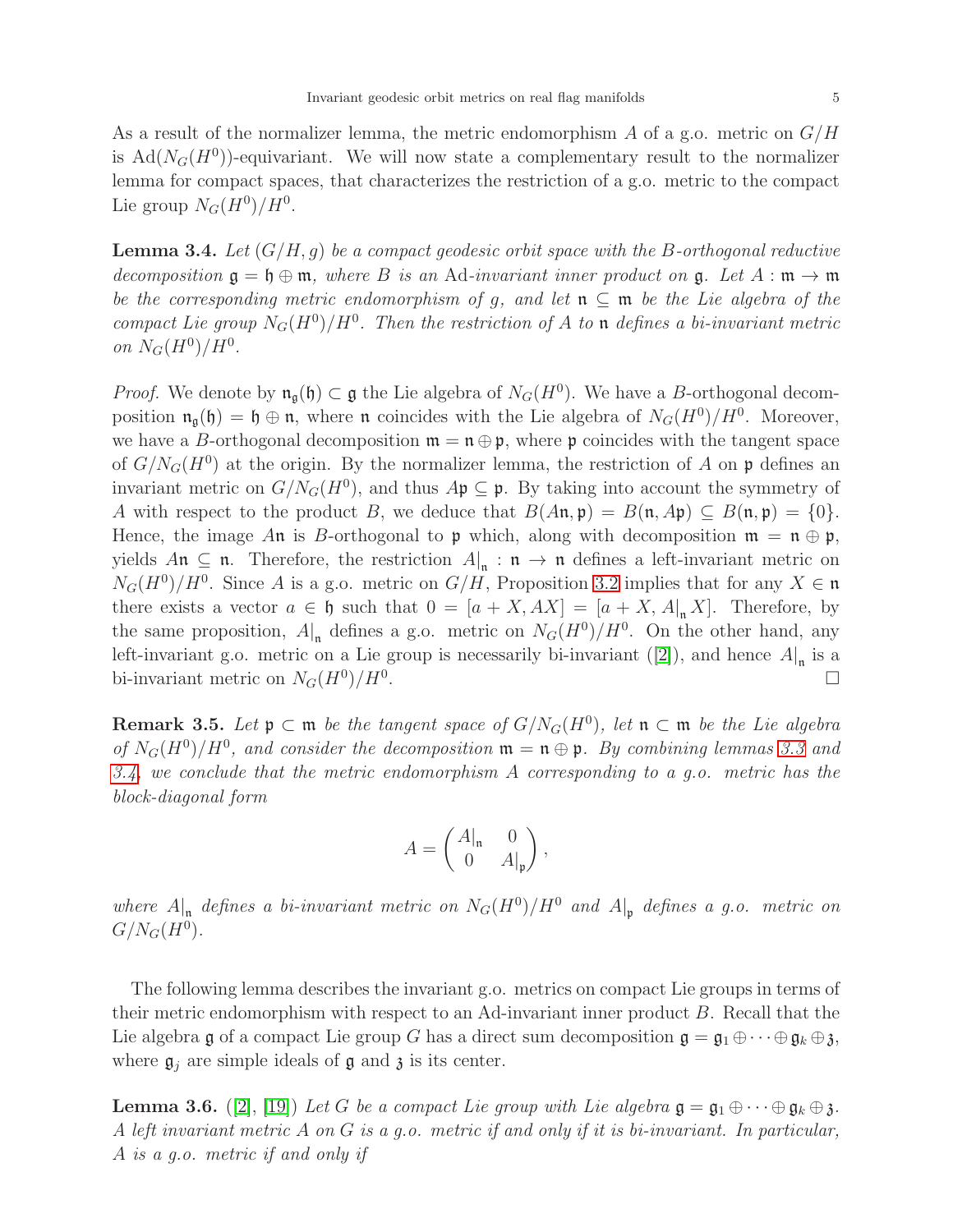As a result of the normalizer lemma, the metric endomorphism  $A$  of a g.o. metric on  $G/H$ is  $\text{Ad}(N_G(H^0))$ -equivariant. We will now state a complementary result to the normalizer lemma for compact spaces, that characterizes the restriction of a g.o. metric to the compact Lie group  $N_G(H^0)/H^0$ .

<span id="page-4-0"></span>**Lemma 3.4.** Let  $(G/H, q)$  be a compact geodesic orbit space with the B-orthogonal reductive decomposition  $\mathfrak{g} = \mathfrak{h} \oplus \mathfrak{m}$ , where B is an Ad-invariant inner product on  $\mathfrak{g}$ . Let  $A : \mathfrak{m} \to \mathfrak{m}$ be the corresponding metric endomorphism of g, and let  $\mathfrak{n} \subseteq \mathfrak{m}$  be the Lie algebra of the compact Lie group  $N_G(H^0)/H^0$ . Then the restriction of A to n defines a bi-invariant metric on  $N_G(H^0)/H^0$ .

*Proof.* We denote by  $\mathfrak{n}_{\mathfrak{g}}(\mathfrak{h}) \subset \mathfrak{g}$  the Lie algebra of  $N_G(H^0)$ . We have a B-orthogonal decomposition  $\mathfrak{n}_{\mathfrak{g}}(\mathfrak{h}) = \mathfrak{h} \oplus \mathfrak{n}$ , where  $\mathfrak{n}$  coincides with the Lie algebra of  $N_G(H^0)/H^0$ . Moreover, we have a B-orthogonal decomposition  $\mathfrak{m} = \mathfrak{n} \oplus \mathfrak{p}$ , where  $\mathfrak{p}$  coincides with the tangent space of  $G/N_G(H^0)$  at the origin. By the normalizer lemma, the restriction of A on  $\mathfrak p$  defines an invariant metric on  $G/N_G(H^0)$ , and thus  $A\mathfrak{p} \subseteq \mathfrak{p}$ . By taking into account the symmetry of A with respect to the product B, we deduce that  $B(A\mathfrak{n}, \mathfrak{p}) = B(\mathfrak{n}, A\mathfrak{p}) \subseteq B(\mathfrak{n}, \mathfrak{p}) = \{0\}.$ Hence, the image An is B-orthogonal to p which, along with decomposition  $\mathfrak{m} = \mathfrak{n} \oplus \mathfrak{p}$ , yields  $A\mathfrak{n} \subseteq \mathfrak{n}$ . Therefore, the restriction  $A|_{\mathfrak{n}} : \mathfrak{n} \to \mathfrak{n}$  defines a left-invariant metric on  $N_G(H^0)/H^0$ . Since A is a g.o. metric on  $G/H$ , Proposition [3.2](#page-3-1) implies that for any  $X \in \mathfrak{n}$ there exists a vector  $a \in \mathfrak{h}$  such that  $0 = [a + X, AX] = [a + X, A|_{\mathfrak{n}}X]$ . Therefore, by the same proposition,  $A|_{\mathfrak{n}}$  defines a g.o. metric on  $N_G(H^0)/H^0$ . On the other hand, any left-invariant g.o. metric on a Lie group is necessarily bi-invariant  $([2])$  $([2])$  $([2])$ , and hence  $A|_{\mathfrak{n}}$  is a bi-invariant metric on  $N_G(H^0)/H^0$ .

<span id="page-4-1"></span>**Remark 3.5.** Let  $\mathfrak{p} \subset \mathfrak{m}$  be the tangent space of  $G/N_G(H^0)$ , let  $\mathfrak{n} \subset \mathfrak{m}$  be the Lie algebra of  $N_G(H^0)/H^0$ , and consider the decomposition  $\mathfrak{m} = \mathfrak{n} \oplus \mathfrak{p}$ . By combining lemmas [3.3](#page-3-2) and [3.4,](#page-4-0) we conclude that the metric endomorphism  $A$  corresponding to a q.o. metric has the block-diagonal form

$$
A = \begin{pmatrix} A|_{\mathfrak{n}} & 0 \\ 0 & A|_{\mathfrak{p}} \end{pmatrix},
$$

where  $A|_{\mathfrak{n}}$  defines a bi-invariant metric on  $N_G(H^0)/H^0$  and  $A|_{\mathfrak{p}}$  defines a g.o. metric on  $G/N_G(H^0)$ .

The following lemma describes the invariant g.o. metrics on compact Lie groups in terms of their metric endomorphism with respect to an Ad-invariant inner product B. Recall that the Lie algebra g of a compact Lie group G has a direct sum decomposition  $\mathfrak{g} = \mathfrak{g}_1 \oplus \cdots \oplus \mathfrak{g}_k \oplus \mathfrak{z}$ , where  $\mathfrak{g}_i$  are simple ideals of  $\mathfrak g$  and  $\mathfrak z$  is its center.

**Lemma 3.6.** ([\[2\]](#page-13-23), [\[19\]](#page-13-13)) Let G be a compact Lie group with Lie algebra  $\mathfrak{g} = \mathfrak{g}_1 \oplus \cdots \oplus \mathfrak{g}_k \oplus \mathfrak{z}$ . A left invariant metric A on G is a g.o. metric if and only if it is bi-invariant. In particular, A is a g.o. metric if and only if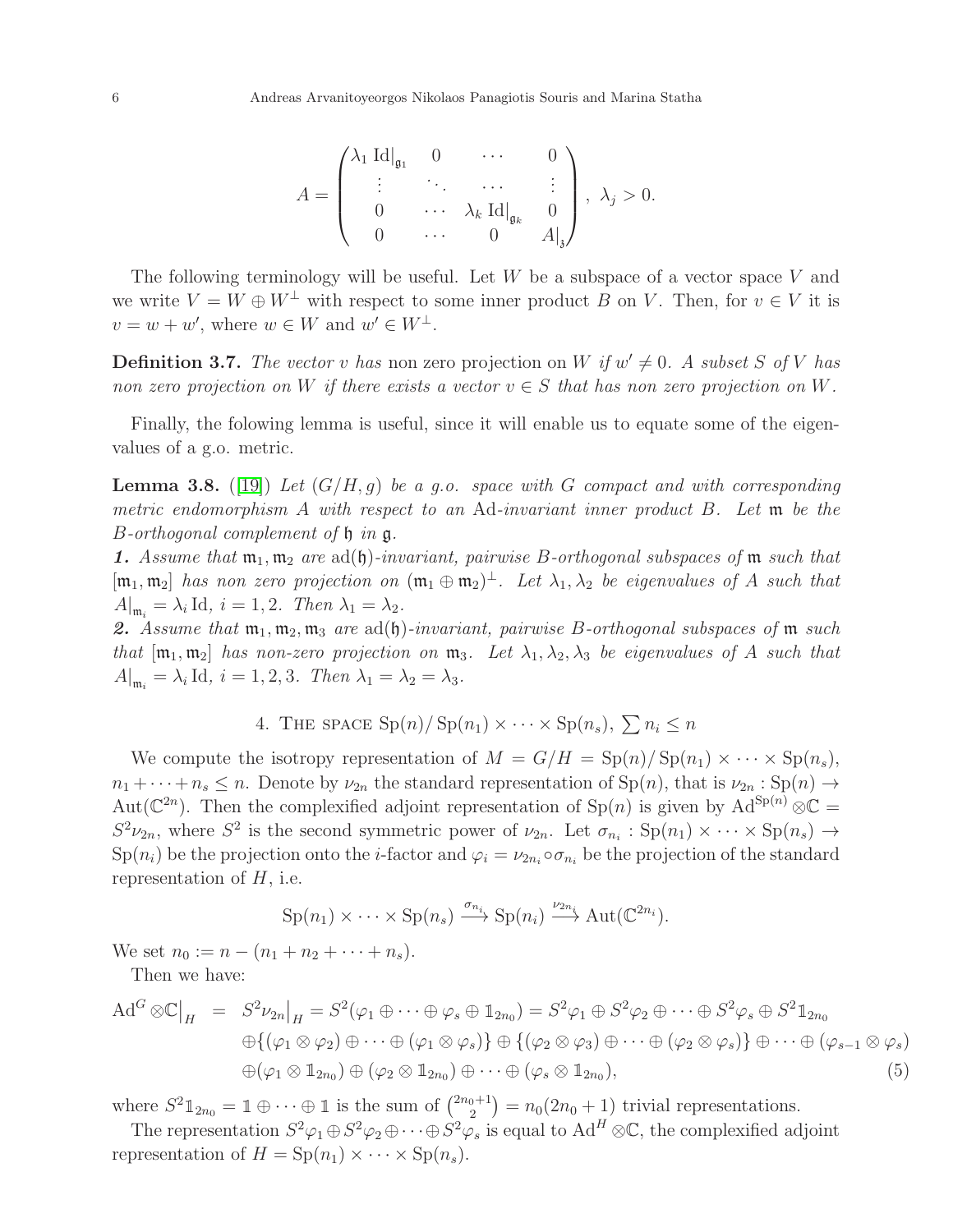$$
A = \begin{pmatrix} \lambda_1 \operatorname{Id} |_{\mathfrak{g}_1} & 0 & \cdots & 0 \\ \vdots & \ddots & \cdots & \vdots \\ 0 & \cdots & \lambda_k \operatorname{Id} |_{\mathfrak{g}_k} & 0 \\ 0 & \cdots & 0 & A|_{\mathfrak{z}} \end{pmatrix}, \lambda_j > 0.
$$

The following terminology will be useful. Let  $W$  be a subspace of a vector space  $V$  and we write  $V = W \oplus W^{\perp}$  with respect to some inner product B on V. Then, for  $v \in V$  it is  $v = w + w'$ , where  $w \in W$  and  $w' \in W^{\perp}$ .

**Definition 3.7.** The vector v has non zero projection on W if  $w' \neq 0$ . A subset S of V has non zero projection on W if there exists a vector  $v \in S$  that has non zero projection on W.

Finally, the folowing lemma is useful, since it will enable us to equate some of the eigenvalues of a g.o. metric.

<span id="page-5-2"></span>**Lemma 3.8.** ([\[19\]](#page-13-13)) Let  $(G/H, g)$  be a g.o. space with G compact and with corresponding metric endomorphism A with respect to an Ad-invariant inner product B. Let m be the B-orthogonal complement of h in g.

**1.** Assume that  $\mathfrak{m}_1, \mathfrak{m}_2$  are ad( $\mathfrak{h}$ )-invariant, pairwise B-orthogonal subspaces of  $\mathfrak{m}$  such that  $[\mathfrak{m}_1, \mathfrak{m}_2]$  has non zero projection on  $(\mathfrak{m}_1 \oplus \mathfrak{m}_2)^{\perp}$ . Let  $\lambda_1, \lambda_2$  be eigenvalues of A such that  $A|_{\mathfrak{m}_i} = \lambda_i \text{ Id}, i = 1, 2.$  Then  $\lambda_1 = \lambda_2$ .

2. Assume that  $m_1, m_2, m_3$  are  $ad(f)$ -invariant, pairwise B-orthogonal subspaces of m such that  $[\mathfrak{m}_1, \mathfrak{m}_2]$  has non-zero projection on  $\mathfrak{m}_3$ . Let  $\lambda_1, \lambda_2, \lambda_3$  be eigenvalues of A such that  $A|_{\mathfrak{m}_i} = \lambda_i \text{ Id}, i = 1, 2, 3.$  Then  $\lambda_1 = \lambda_2 = \lambda_3.$ 

4. THE SPACE 
$$
\text{Sp}(n)/\text{Sp}(n_1) \times \cdots \times \text{Sp}(n_s)
$$
,  $\sum n_i \leq n$ 

<span id="page-5-0"></span>We compute the isotropy representation of  $M = G/H = Sp(n)/Sp(n_1) \times \cdots \times Sp(n_s)$ ,  $n_1 + \cdots + n_s \leq n$ . Denote by  $\nu_{2n}$  the standard representation of  $\text{Sp}(n)$ , that is  $\nu_{2n} : \text{Sp}(n) \to$ Aut( $\mathbb{C}^{2n}$ ). Then the complexified adjoint representation of Sp(n) is given by Ad<sup>Sp(n)</sup>  $\otimes \mathbb{C}$  =  $S^2\nu_{2n}$ , where  $S^2$  is the second symmetric power of  $\nu_{2n}$ . Let  $\sigma_{n_i} : Sp(n_1) \times \cdots \times Sp(n_s) \to Sp(n_s)$  $Sp(n_i)$  be the projection onto the *i*-factor and  $\varphi_i = \nu_{2n_i} \circ \sigma_{n_i}$  be the projection of the standard representation of  $H$ , i.e.

$$
\mathrm{Sp}(n_1)\times\cdots\times\mathrm{Sp}(n_s)\xrightarrow{\sigma_{n_i}}\mathrm{Sp}(n_i)\xrightarrow{\nu_{2n_i}}\mathrm{Aut}(\mathbb{C}^{2n_i}).
$$

We set  $n_0 := n - (n_1 + n_2 + \cdots + n_s)$ .

Then we have:

<span id="page-5-1"></span>
$$
\mathrm{Ad}^{G}\otimes\mathbb{C}\big|_{H} = S^{2}\nu_{2n}\big|_{H} = S^{2}(\varphi_{1}\oplus\cdots\oplus\varphi_{s}\oplus\mathbb{1}_{2n_{0}}) = S^{2}\varphi_{1}\oplus S^{2}\varphi_{2}\oplus\cdots\oplus S^{2}\varphi_{s}\oplus S^{2}\mathbb{1}_{2n_{0}}\oplus\{(\varphi_{1}\otimes\varphi_{2})\oplus\cdots\oplus(\varphi_{1}\otimes\varphi_{s})\}\oplus\{(\varphi_{2}\otimes\varphi_{3})\oplus\cdots\oplus(\varphi_{2}\otimes\varphi_{s})\}\oplus\cdots\oplus(\varphi_{s-1}\otimes\varphi_{s})\oplus(\varphi_{1}\otimes\mathbb{1}_{2n_{0}})\oplus(\varphi_{2}\otimes\mathbb{1}_{2n_{0}})\oplus\cdots\oplus(\varphi_{s}\otimes\mathbb{1}_{2n_{0}}),
$$
\n(5)

where  $S^2 \mathbb{1}_{2n_0} = \mathbb{1} \oplus \cdots \oplus \mathbb{1}$  is the sum of  $\binom{2n_0+1}{2}$  $n_2^{(0+1)} = n_0(2n_0+1)$  trivial representations.

The representation  $S^2\varphi_1 \oplus S^2\varphi_2 \oplus \cdots \oplus S^2\varphi_s$  is equal to  $Ad^H \otimes \mathbb{C}$ , the complexified adjoint representation of  $H = \text{Sp}(n_1) \times \cdots \times \text{Sp}(n_s)$ .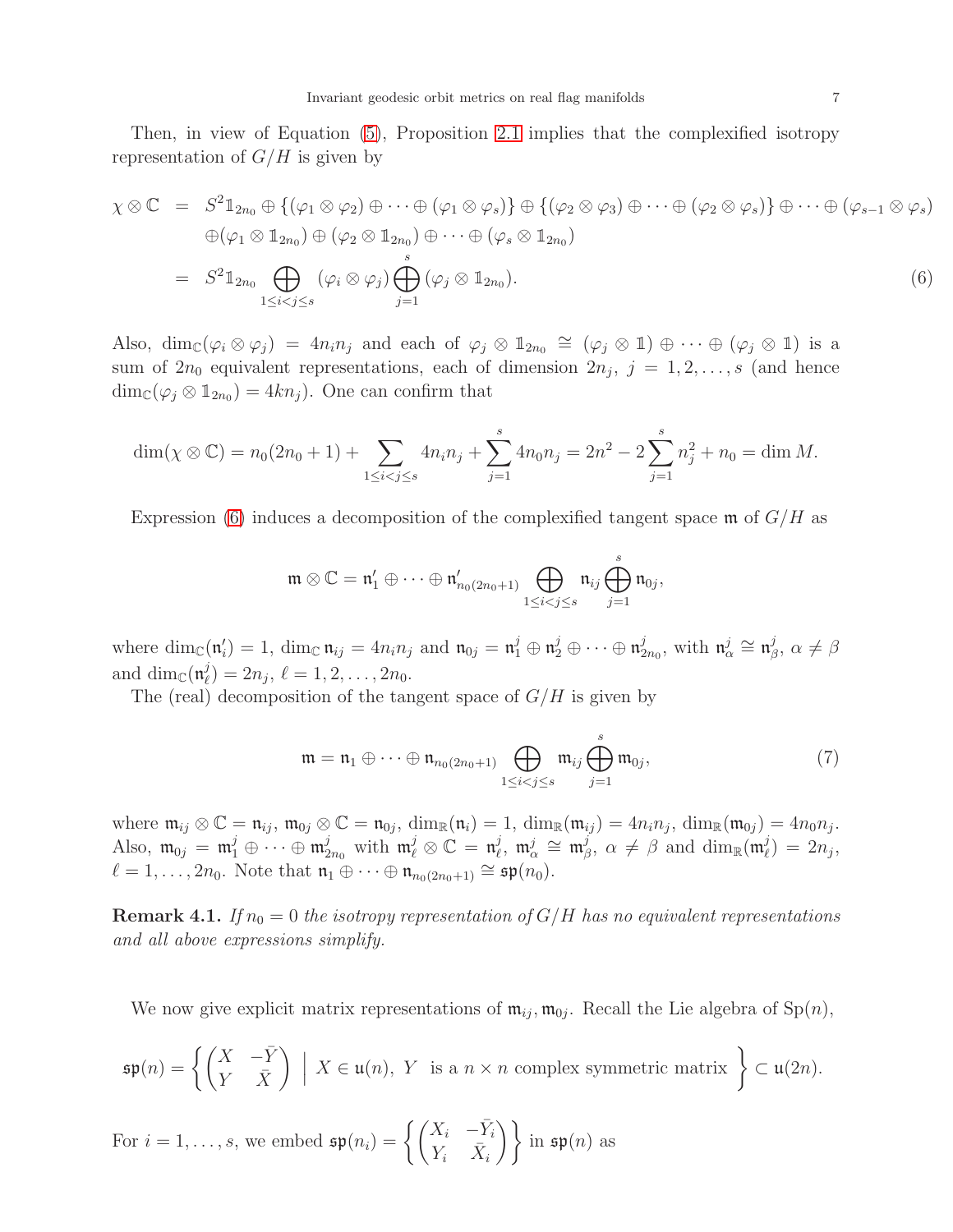Then, in view of Equation [\(5\)](#page-5-1), Proposition [2.1](#page-2-4) implies that the complexified isotropy representation of  $G/H$  is given by

<span id="page-6-0"></span>
$$
\chi \otimes \mathbb{C} = S^2 \mathbb{1}_{2n_0} \oplus \{ (\varphi_1 \otimes \varphi_2) \oplus \cdots \oplus (\varphi_1 \otimes \varphi_s) \} \oplus \{ (\varphi_2 \otimes \varphi_3) \oplus \cdots \oplus (\varphi_2 \otimes \varphi_s) \} \oplus \cdots \oplus (\varphi_{s-1} \otimes \varphi_s)
$$
  
\n
$$
\oplus (\varphi_1 \otimes \mathbb{1}_{2n_0}) \oplus (\varphi_2 \otimes \mathbb{1}_{2n_0}) \oplus \cdots \oplus (\varphi_s \otimes \mathbb{1}_{2n_0})
$$
  
\n
$$
= S^2 \mathbb{1}_{2n_0} \bigoplus_{1 \leq i < j \leq s} (\varphi_i \otimes \varphi_j) \bigoplus_{j=1}^s (\varphi_j \otimes \mathbb{1}_{2n_0}).
$$
\n(6)

Also,  $\dim_{\mathbb{C}}(\varphi_i \otimes \varphi_j) = 4n_i n_j$  and each of  $\varphi_j \otimes \mathbb{1}_{2n_0} \cong (\varphi_j \otimes \mathbb{1}) \oplus \cdots \oplus (\varphi_j \otimes \mathbb{1})$  is a sum of  $2n_0$  equivalent representations, each of dimension  $2n_j$ ,  $j = 1, 2, \ldots, s$  (and hence  $\dim_{\mathbb{C}}(\varphi_j \otimes \mathbb{1}_{2n_0}) = 4kn_j$ . One can confirm that

$$
\dim(\chi \otimes \mathbb{C}) = n_0(2n_0 + 1) + \sum_{1 \le i < j \le s} 4n_i n_j + \sum_{j=1}^s 4n_0 n_j = 2n^2 - 2\sum_{j=1}^s n_j^2 + n_0 = \dim M.
$$

Expression [\(6\)](#page-6-0) induces a decomposition of the complexified tangent space  $\mathfrak{m}$  of  $G/H$  as

$$
\mathfrak{m} \otimes \mathbb{C} = \mathfrak{n}'_1 \oplus \cdots \oplus \mathfrak{n}'_{n_0(2n_0+1)} \bigoplus_{1 \leq i < j \leq s} \mathfrak{n}_{ij} \bigoplus_{j=1}^s \mathfrak{n}_{0j},
$$

where  $\dim_{\mathbb{C}}(\mathfrak{n}'_i) = 1$ ,  $\dim_{\mathbb{C}} \mathfrak{n}_{ij} = 4n_i n_j$  and  $\mathfrak{n}_{0j} = \mathfrak{n}_1^j \oplus \mathfrak{n}_2^j \oplus \cdots \oplus \mathfrak{n}_2^j$  $_{2n_{0}}^{j},$  with  $\mathfrak{n}_{\alpha}^{j}\cong\mathfrak{n}_{\beta}^{j}$  $^{\jmath}_{\beta}, \ \alpha \neq \beta$ and  $\dim_{\mathbb{C}}(\mathfrak{n}_{\ell}^j)$  $\ell(\ell)}(l)=2n_j, \, \ell=1,2,\ldots,2n_0.$ 

The (real) decomposition of the tangent space of  $G/H$  is given by

<span id="page-6-1"></span>
$$
\mathfrak{m} = \mathfrak{n}_1 \oplus \cdots \oplus \mathfrak{n}_{n_0(2n_0+1)} \bigoplus_{1 \leq i < j \leq s} \mathfrak{m}_{ij} \bigoplus_{j=1}^s \mathfrak{m}_{0j},\tag{7}
$$

where  $\mathfrak{m}_{ij} \otimes \mathbb{C} = \mathfrak{n}_{ij}$ ,  $\mathfrak{m}_{0j} \otimes \mathbb{C} = \mathfrak{n}_{0j}$ ,  $\dim_{\mathbb{R}}(\mathfrak{n}_i) = 1$ ,  $\dim_{\mathbb{R}}(\mathfrak{m}_{ij}) = 4n_i n_j$ ,  $\dim_{\mathbb{R}}(\mathfrak{m}_{0j}) = 4n_0 n_j$ . Also,  $\mathfrak{m}_{0j} = \mathfrak{m}_{1}^{j} \oplus \cdots \oplus \mathfrak{m}_{2n_0}^{j}$  with  $\mathfrak{m}_{\ell}^{j} \otimes \mathbb{C} = \mathfrak{n}_{\ell}^{j}$  $\frac{j}{\ell},\; \mathfrak{m}_{\alpha}^{j} \;\cong\; \mathfrak{m}_{\beta}^{j}$  $\beta^j$ , α  $\neq \beta$  and dim<sub>R</sub>(m<sup>j</sup><sub> $\ell$ </sub>)  $\binom{J}{\ell} = 2n_j,$  $\ell = 1, \ldots, 2n_0$ . Note that  $\mathfrak{n}_1 \oplus \cdots \oplus \mathfrak{n}_{n_0(2n_0+1)} \cong \mathfrak{sp}(n_0)$ .

**Remark 4.1.** If  $n_0 = 0$  the isotropy representation of  $G/H$  has no equivalent representations and all above expressions simplify.

We now give explicit matrix representations of  $\mathfrak{m}_{ij}, \mathfrak{m}_{0j}$ . Recall the Lie algebra of  $\text{Sp}(n)$ ,

$$
\mathfrak{sp}(n) = \left\{ \begin{pmatrix} X & -\bar{Y} \\ Y & \bar{X} \end{pmatrix} \middle| X \in \mathfrak{u}(n), Y \text{ is a } n \times n \text{ complex symmetric matrix} \right\} \subset \mathfrak{u}(2n).
$$

For 
$$
i = 1, ..., s
$$
, we embed  $\mathfrak{sp}(n_i) = \left\{ \begin{pmatrix} X_i & -\overline{Y}_i \\ Y_i & \overline{X}_i \end{pmatrix} \right\}$  in  $\mathfrak{sp}(n)$  as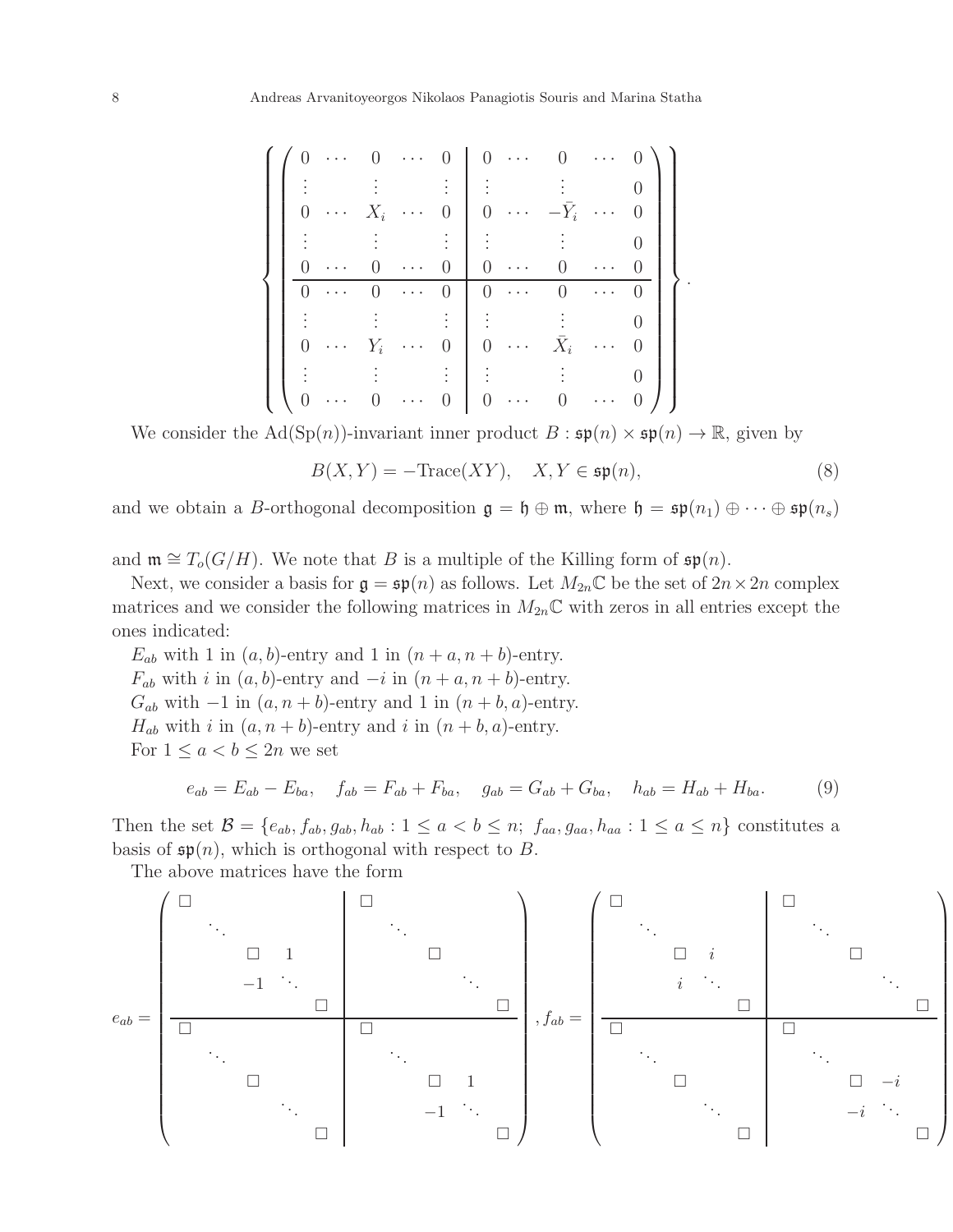|                | $\rightarrow$ $\rightarrow$ $\rightarrow$ |                  | $\sim$ $\sim$ $\sim$ $\sim$     |                | $0 \cdots$                                |                  | $\ddotsc$      |  |
|----------------|-------------------------------------------|------------------|---------------------------------|----------------|-------------------------------------------|------------------|----------------|--|
|                |                                           |                  |                                 |                |                                           |                  |                |  |
|                | $\langle\cdots\rangle$                    | $X_i$            | $\mathbb{Z}^2$ , $\mathbb{Z}^2$ | $\overline{0}$ | $\ldots$                                  | $-\bar{Y}_i$     | $\sim 10^{11}$ |  |
|                |                                           |                  |                                 |                |                                           |                  |                |  |
| $\overline{0}$ | $\sim$                                    | $\boldsymbol{0}$ | $\ldots$                        | $\overline{0}$ | $\ddotsc$                                 | $\overline{0}$   |                |  |
|                | $\ldots$                                  |                  | $\ddotsc$                       | $\theta$       | $\sim$                                    | $\overline{0}$   | $\ddots$ .     |  |
|                |                                           |                  |                                 |                |                                           |                  |                |  |
| $\overline{0}$ | $\rightarrow$ $\rightarrow$ $\rightarrow$ | $Y_i$            | $\ddotsc$                       | $\theta$       | $\rightarrow$ $\rightarrow$ $\rightarrow$ | $\bar{X}_i$      | $\cdots$       |  |
|                |                                           |                  |                                 |                |                                           |                  |                |  |
|                | $\langle\ldots\rangle$                    |                  | $\sim$ $\sim$ $\sim$            |                | $\langle\,\cdot\, \,\cdot\, \,\cdot\,$    | $\boldsymbol{0}$ | $\ddotsc$      |  |

We consider the Ad(Sp(n))-invariant inner product  $B : \mathfrak{sp}(n) \times \mathfrak{sp}(n) \to \mathbb{R}$ , given by

<span id="page-7-1"></span>
$$
B(X,Y) = -\text{Trace}(XY), \quad X, Y \in \mathfrak{sp}(n),\tag{8}
$$

and we obtain a B-orthogonal decomposition  $\mathfrak{g} = \mathfrak{h} \oplus \mathfrak{m}$ , where  $\mathfrak{h} = \mathfrak{sp}(n_1) \oplus \cdots \oplus \mathfrak{sp}(n_s)$ 

and  $\mathfrak{m} \cong T_o(G/H)$ . We note that B is a multiple of the Killing form of  $\mathfrak{sp}(n)$ .

Next, we consider a basis for  $\mathfrak{g} = \mathfrak{sp}(n)$  as follows. Let  $M_{2n} \mathbb{C}$  be the set of  $2n \times 2n$  complex matrices and we consider the following matrices in  $M_{2n}\mathbb{C}$  with zeros in all entries except the ones indicated:

 $E_{ab}$  with 1 in  $(a, b)$ -entry and 1 in  $(n + a, n + b)$ -entry.  $F_{ab}$  with i in  $(a, b)$ -entry and  $-i$  in  $(n + a, n + b)$ -entry.  $G_{ab}$  with  $-1$  in  $(a, n+b)$ -entry and 1 in  $(n+b, a)$ -entry.  $H_{ab}$  with i in  $(a, n+b)$ -entry and i in  $(n+b, a)$ -entry. For  $1 \leq a < b \leq 2n$  we set

<span id="page-7-0"></span>
$$
e_{ab} = E_{ab} - E_{ba}, \quad f_{ab} = F_{ab} + F_{ba}, \quad g_{ab} = G_{ab} + G_{ba}, \quad h_{ab} = H_{ab} + H_{ba}.
$$
 (9)

Then the set  $\mathcal{B} = \{e_{ab}, f_{ab}, g_{ab}, h_{ab} : 1 \le a < b \le n; f_{aa}, g_{aa}, h_{aa} : 1 \le a \le n\}$  constitutes a basis of  $\mathfrak{sp}(n)$ , which is orthogonal with respect to B.

The above matrices have the form

eab = . . . . . . 1 −1 . . . . . . . . . . . . 1 . . . −1 . . . , fab = . . . . . . i i . . . . . . . . . . . . −i . . . −i . . .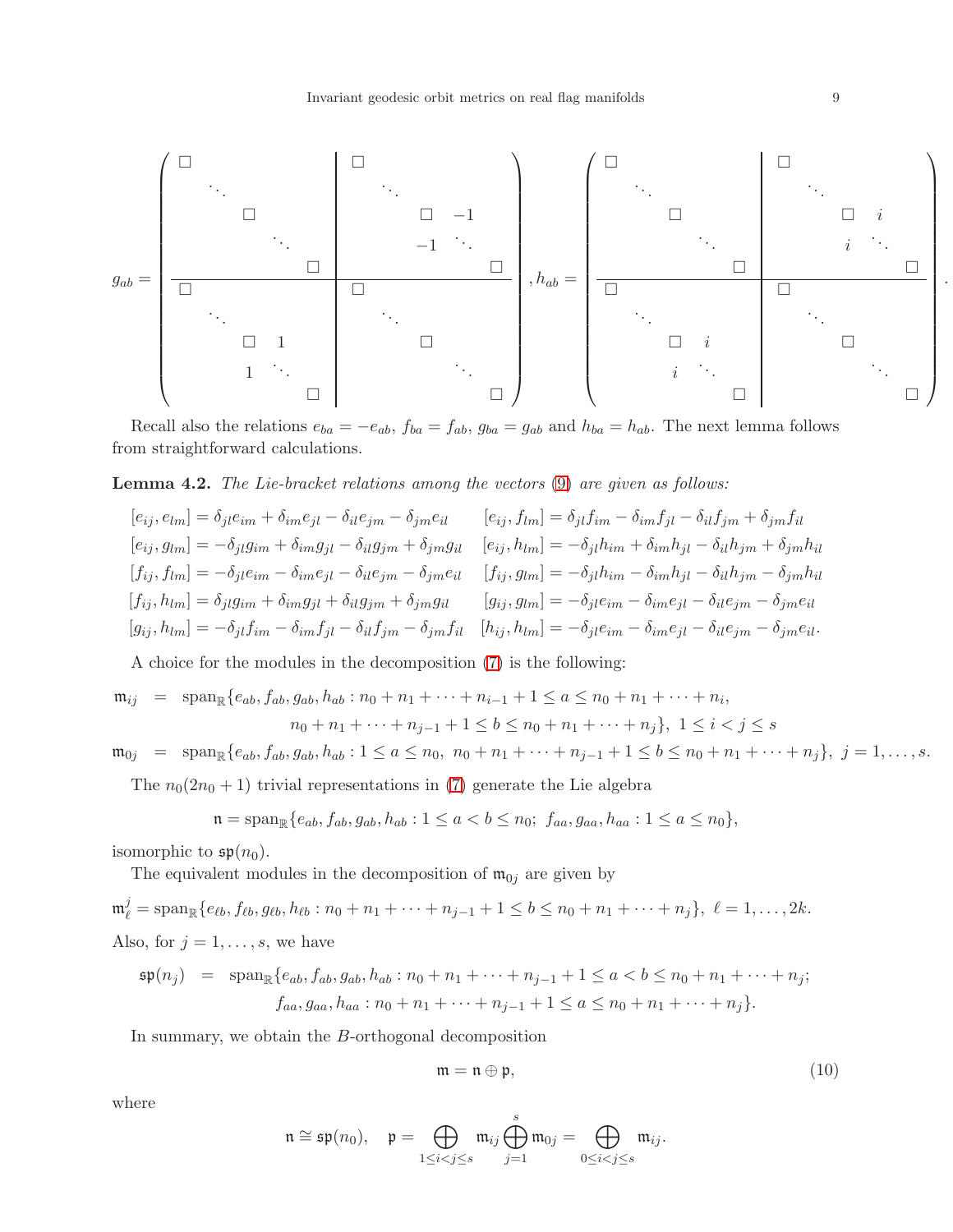

Recall also the relations  $e_{ba} = -e_{ab}$ ,  $f_{ba} = f_{ab}$ ,  $g_{ba} = g_{ab}$  and  $h_{ba} = h_{ab}$ . The next lemma follows from straightforward calculations.

# <span id="page-8-1"></span>Lemma 4.2. The Lie-bracket relations among the vectors [\(9\)](#page-7-0) are given as follows:

$$
[e_{ij}, e_{lm}] = \delta_{jl}e_{im} + \delta_{im}e_{jl} - \delta_{il}e_{jm} - \delta_{jm}e_{il} \qquad [e_{ij}, f_{lm}] = \delta_{jl}f_{im} - \delta_{im}f_{jl} - \delta_{il}f_{jm} + \delta_{jm}f_{il}
$$
  
\n
$$
[e_{ij}, g_{lm}] = -\delta_{jl}g_{im} + \delta_{im}g_{jl} - \delta_{il}g_{jm} + \delta_{jm}g_{il} \qquad [e_{ij}, h_{lm}] = -\delta_{jl}h_{im} + \delta_{im}h_{jl} - \delta_{il}h_{jm} + \delta_{jm}h_{il}
$$
  
\n
$$
[f_{ij}, f_{lm}] = -\delta_{jl}e_{im} - \delta_{im}e_{jl} - \delta_{il}e_{jm} - \delta_{jm}e_{il} \qquad [f_{ij}, g_{lm}] = -\delta_{jl}h_{im} - \delta_{im}h_{jl} - \delta_{il}h_{jm} - \delta_{jm}h_{il}
$$
  
\n
$$
[f_{ij}, h_{lm}] = \delta_{jl}g_{im} + \delta_{im}g_{jl} + \delta_{il}g_{jm} + \delta_{jm}g_{il} \qquad [g_{ij}, g_{lm}] = -\delta_{jl}e_{im} - \delta_{im}e_{jl} - \delta_{il}e_{jm} - \delta_{jm}e_{il}
$$
  
\n
$$
[g_{ij}, h_{lm}] = -\delta_{jl}f_{im} - \delta_{im}f_{jl} - \delta_{il}f_{jm} - \delta_{jm}f_{il} \qquad [h_{ij}, h_{lm}] = -\delta_{jl}e_{im} - \delta_{im}e_{jl} - \delta_{il}e_{jm} - \delta_{jm}e_{il}.
$$

A choice for the modules in the decomposition [\(7\)](#page-6-1) is the following:

$$
\mathfrak{m}_{ij} = \text{span}_{\mathbb{R}}\{e_{ab}, f_{ab}, g_{ab}, h_{ab} : n_0 + n_1 + \dots + n_{i-1} + 1 \le a \le n_0 + n_1 + \dots + n_i,
$$
  

$$
n_0 + n_1 + \dots + n_{j-1} + 1 \le b \le n_0 + n_1 + \dots + n_j\}, \ 1 \le i < j \le s
$$

 $\mathfrak{m}_{0j} = \text{span}_{\mathbb{R}}\{e_{ab}, f_{ab}, g_{ab}, h_{ab} : 1 \le a \le n_0, n_0 + n_1 + \cdots + n_{j-1} + 1 \le b \le n_0 + n_1 + \cdots + n_j\}, j = 1, \ldots, s.$ 

The  $n_0(2n_0 + 1)$  trivial representations in [\(7\)](#page-6-1) generate the Lie algebra

$$
\mathfrak{n} = \mathrm{span}_{\mathbb{R}}\{e_{ab}, f_{ab}, g_{ab}, h_{ab} : 1 \le a < b \le n_0; f_{aa}, g_{aa}, h_{aa} : 1 \le a \le n_0\},\
$$

isomorphic to  $\mathfrak{sp}(n_0)$ .

The equivalent modules in the decomposition of  $\mathfrak{m}_{0j}$  are given by

$$
\mathfrak{m}_{\ell}^{j} = \text{span}_{\mathbb{R}} \{ e_{\ell b}, f_{\ell b}, g_{\ell b}, h_{\ell b} : n_{0} + n_{1} + \dots + n_{j-1} + 1 \leq b \leq n_{0} + n_{1} + \dots + n_{j} \}, \ \ell = 1, \dots, 2k.
$$
  
Also, for  $j = 1, \dots, s$ , we have

$$
\mathfrak{sp}(n_j) = \text{span}_{\mathbb{R}}\{e_{ab}, f_{ab}, g_{ab}, h_{ab} : n_0 + n_1 + \dots + n_{j-1} + 1 \le a < b \le n_0 + n_1 + \dots + n_j;
$$
  

$$
f_{aa}, g_{aa}, h_{aa} : n_0 + n_1 + \dots + n_{j-1} + 1 \le a \le n_0 + n_1 + \dots + n_j\}.
$$

In summary, we obtain the B-orthogonal decomposition

<span id="page-8-0"></span>
$$
\mathfrak{m} = \mathfrak{n} \oplus \mathfrak{p},\tag{10}
$$

where

$$
\mathfrak{n}\cong \mathfrak{sp}(n_0),\quad \mathfrak{p}=\bigoplus_{1\leq i
$$

.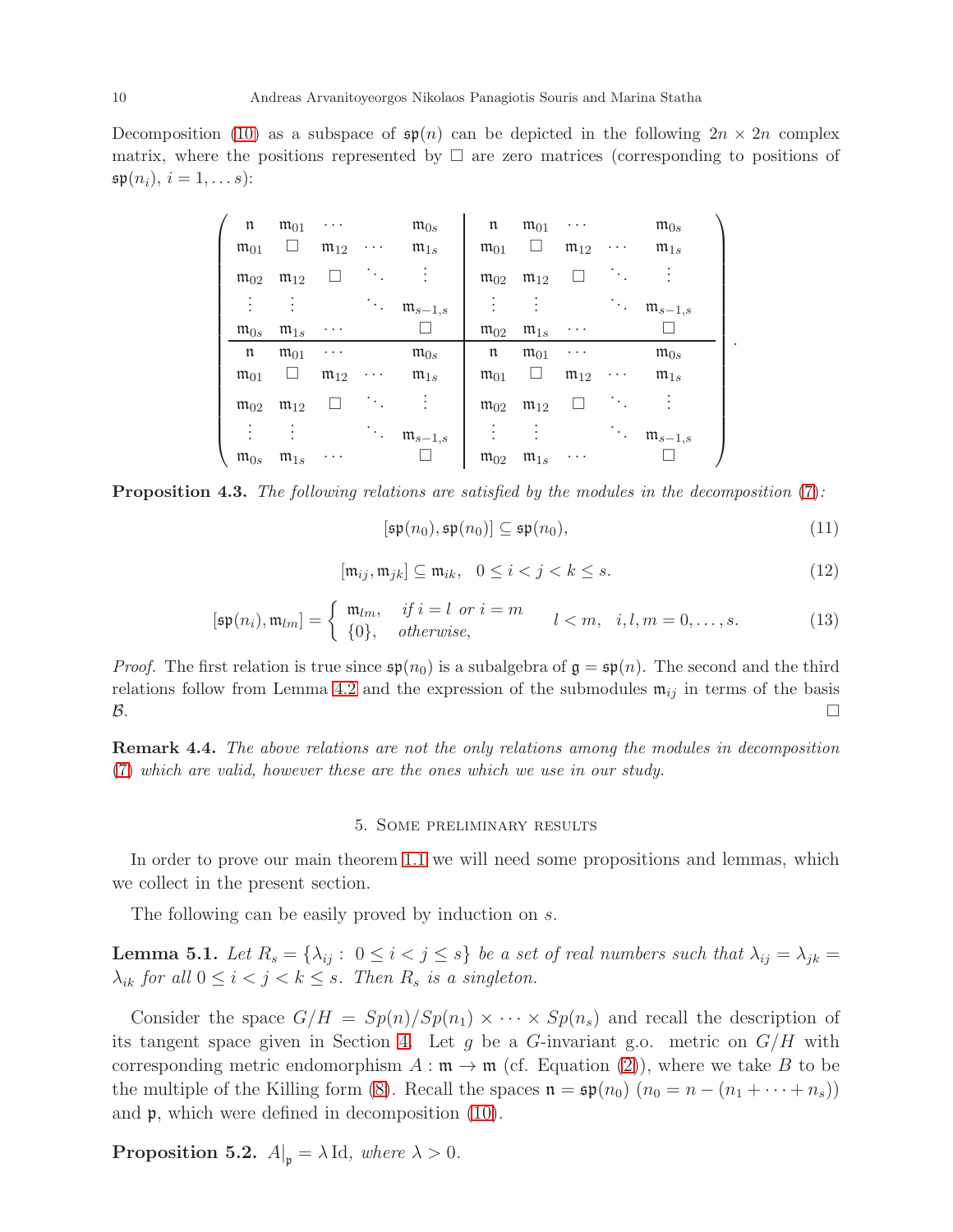Decomposition [\(10\)](#page-8-0) as a subspace of  $\mathfrak{sp}(n)$  can be depicted in the following  $2n \times 2n$  complex matrix, where the positions represented by  $\Box$  are zero matrices (corresponding to positions of  $\mathfrak{sp}(n_i), i = 1, \ldots s)$ :

| $\mathfrak n$       | $m_{01}$            | $\cdots$            |                                          | $\mathfrak{m}_{0s}$             | $\mathfrak n$       | $m_{01}$            | .                   |                                          | $\mathfrak{m}_{0s}$    |  |
|---------------------|---------------------|---------------------|------------------------------------------|---------------------------------|---------------------|---------------------|---------------------|------------------------------------------|------------------------|--|
| $m_{01}$            | ш                   | $\mathfrak{m}_{12}$ | $\cdots$                                 | $\mathfrak{m}_{1s}$             | $m_{01}$            | ப                   | $\mathfrak{m}_{12}$ | $\cdots$                                 | $\mathfrak{m}_{1s}$    |  |
| $\mathfrak{m}_{02}$ | $m_{12}$            |                     | $\mathcal{N}_{\mathrm{c}}$               | $\ddot{\cdot}$                  | $\mathfrak{m}_{02}$ | $\mathfrak{m}_{12}$ |                     | $\ddot{\phantom{0}}$                     |                        |  |
| $\bullet$           | ٠                   |                     | $\mathcal{O}(\mathcal{E}_{\mathcal{E}})$ | $\mathfrak{m}_{s-1,s}$          | ٠                   |                     |                     | $\mathcal{O}(\mathcal{E}_{\mathcal{E}})$ | $\mathfrak{m}_{s-1,s}$ |  |
| $\mathfrak{m}_{0s}$ | $\mathfrak{m}_{1s}$ | $\cdots$            |                                          |                                 | $m_{02}$            | $\mathfrak{m}_{1s}$ | $\cdots$            |                                          |                        |  |
|                     |                     |                     |                                          |                                 |                     |                     |                     |                                          |                        |  |
| $\mathfrak n$       | $m_{01}$            | $\cdots$            |                                          | $\mathfrak{m}_{0s}$             | $\mathfrak n$       | $m_{01}$            | $\cdots$            |                                          | $\mathfrak{m}_{0s}$    |  |
| $m_{01}$            | ப                   | $\mathfrak{m}_{12}$ | $\cdots$                                 | $\mathfrak{m}_{1s}$             | $m_{01}$            | Ц                   | $\mathfrak{m}_{12}$ | $\cdots$                                 | $\mathfrak{m}_{1s}$    |  |
| $\mathfrak{m}_{02}$ | $\mathfrak{m}_{12}$ |                     | ٠.                                       | $\ddot{\phantom{a}}$            | $\mathfrak{m}_{02}$ | $\mathfrak{m}_{12}$ |                     | ٠.,                                      |                        |  |
|                     | ٠                   |                     |                                          | $\cdots$ $\mathfrak{m}_{s-1,s}$ |                     | ٠                   |                     | $\mathcal{D}_{\mathcal{A},\mathcal{C}}$  | $\mathfrak{m}_{s-1,s}$ |  |

**Proposition 4.3.** The following relations are satisfied by the modules in the decomposition [\(7\)](#page-6-1):

$$
[\mathfrak{sp}(n_0), \mathfrak{sp}(n_0)] \subseteq \mathfrak{sp}(n_0),\tag{11}
$$

.

<span id="page-9-2"></span>
$$
[\mathfrak{m}_{ij}, \mathfrak{m}_{jk}] \subseteq \mathfrak{m}_{ik}, \quad 0 \le i < j < k \le s. \tag{12}
$$

<span id="page-9-1"></span>
$$
[\mathfrak{sp}(n_i), \mathfrak{m}_{lm}] = \begin{cases} \mathfrak{m}_{lm}, & \text{if } i = l \text{ or } i = m \\ \{0\}, & \text{otherwise}, \end{cases} \qquad l < m, \quad i, l, m = 0, \dots, s. \tag{13}
$$

*Proof.* The first relation is true since  $\mathfrak{sp}(n_0)$  is a subalgebra of  $\mathfrak{g} = \mathfrak{sp}(n)$ . The second and the third relations follow from Lemma [4.2](#page-8-1) and the expression of the submodules  $\mathfrak{m}_{ij}$  in terms of the basis  $\mathcal{B}$ .

<span id="page-9-0"></span>Remark 4.4. The above relations are not the only relations among the modules in decomposition [\(7\)](#page-6-1) which are valid, however these are the ones which we use in our study.

### 5. Some preliminary results

In order to prove our main theorem [1.1](#page-1-0) we will need some propositions and lemmas, which we collect in the present section.

The following can be easily proved by induction on s.

<span id="page-9-3"></span>**Lemma 5.1.** Let  $R_s = \{\lambda_{ij} : 0 \le i < j \le s\}$  be a set of real numbers such that  $\lambda_{ij} = \lambda_{jk} =$  $\lambda_{ik}$  for all  $0 \leq i < j < k \leq s$ . Then  $R_s$  is a singleton.

Consider the space  $G/H = Sp(n)/Sp(n_1) \times \cdots \times Sp(n_s)$  and recall the description of its tangent space given in Section [4.](#page-5-0) Let g be a G-invariant g.o. metric on  $G/H$  with corresponding metric endomorphism  $A : \mathfrak{m} \to \mathfrak{m}$  (cf. Equation [\(2\)](#page-2-1)), where we take B to be the multiple of the Killing form [\(8\)](#page-7-1). Recall the spaces  $\mathfrak{n} = \mathfrak{sp}(n_0)$   $(n_0 = n - (n_1 + \cdots + n_s))$ and p, which were defined in decomposition [\(10\)](#page-8-0).

<span id="page-9-4"></span>**Proposition 5.2.**  $A|_{p} = \lambda \operatorname{Id}$ , where  $\lambda > 0$ .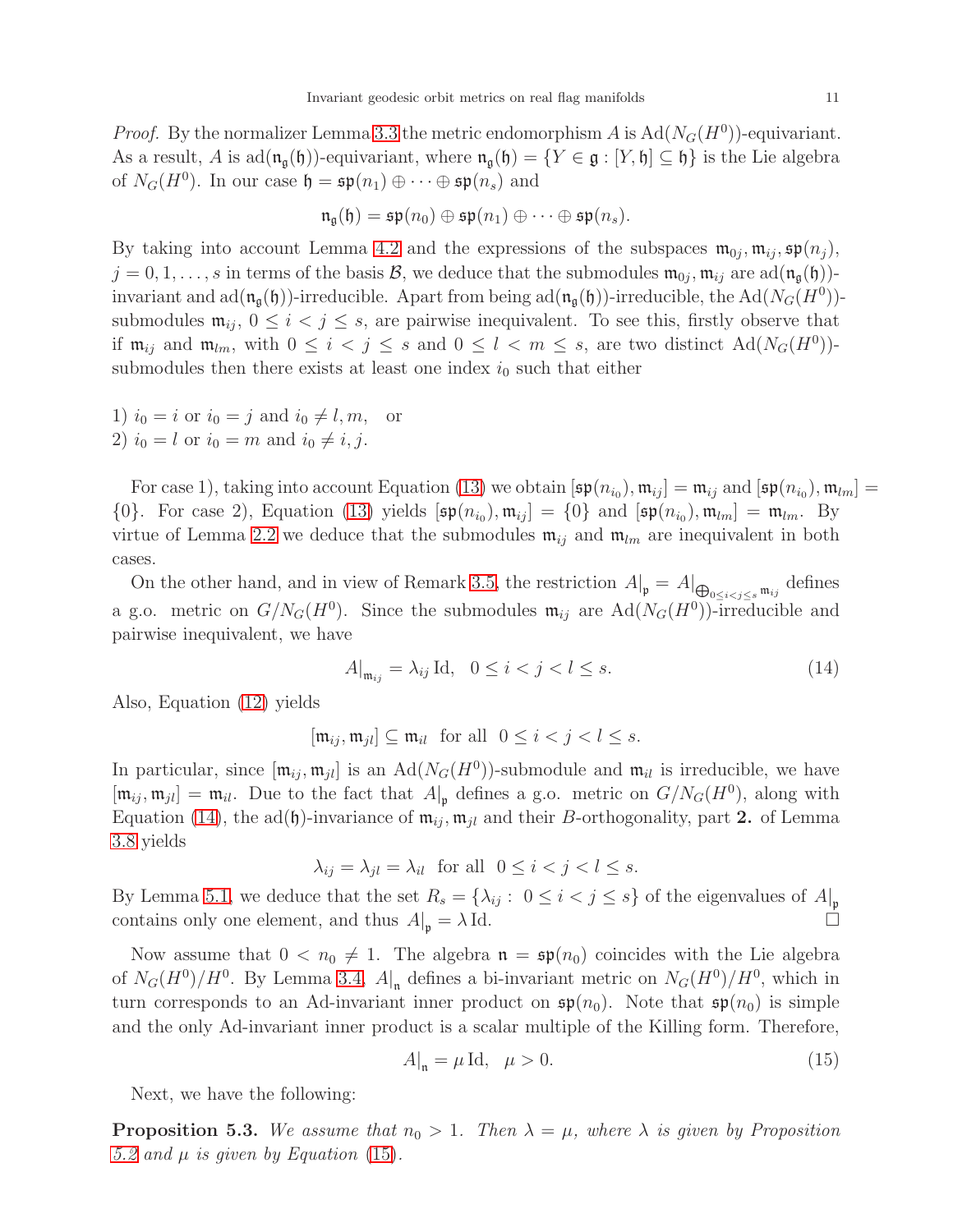*Proof.* By the normalizer Lemma [3.3](#page-3-2) the metric endomorphism A is  $Ad(N_G(H^0))$ -equivariant. As a result, A is  $ad(\mathfrak{n}_{\mathfrak{a}}(\mathfrak{h}))$ -equivariant, where  $\mathfrak{n}_{\mathfrak{a}}(\mathfrak{h}) = \{Y \in \mathfrak{g} : [Y, \mathfrak{h}] \subseteq \mathfrak{h}\}\$ is the Lie algebra of  $N_G(H^0)$ . In our case  $\mathfrak{h} = \mathfrak{sp}(n_1) \oplus \cdots \oplus \mathfrak{sp}(n_s)$  and

$$
\mathfrak{n}_\mathfrak{g}(\mathfrak{h})=\mathfrak{sp}(n_0)\oplus \mathfrak{sp}(n_1)\oplus \cdots \oplus \mathfrak{sp}(n_s).
$$

By taking into account Lemma [4.2](#page-8-1) and the expressions of the subspaces  $\mathfrak{m}_{0j}, \mathfrak{m}_{ij}, \mathfrak{sp}(n_j)$ ,  $j=0,1,\ldots,s$  in terms of the basis  $\mathcal{B}$ , we deduce that the submodules  $\mathfrak{m}_{0j},\mathfrak{m}_{ij}$  are  $ad(\mathfrak{n}_{\mathfrak{g}}(\mathfrak{h}))$ invariant and  $ad(\mathfrak{n}_{\mathfrak{g}}(\mathfrak{h}))$ -irreducible. Apart from being  $ad(\mathfrak{n}_{\mathfrak{g}}(\mathfrak{h}))$ -irreducible, the  $Ad(N_G(H^0))$ submodules  $\mathfrak{m}_{ij}$ ,  $0 \leq i < j \leq s$ , are pairwise inequivalent. To see this, firstly observe that if  $\mathfrak{m}_{ij}$  and  $\mathfrak{m}_{lm}$ , with  $0 \leq i < j \leq s$  and  $0 \leq l < m \leq s$ , are two distinct  $\text{Ad}(N_G(H^0))$ submodules then there exists at least one index  $i_0$  such that either

1)  $i_0 = i$  or  $i_0 = j$  and  $i_0 \neq l, m$ , or 2)  $i_0 = l$  or  $i_0 = m$  and  $i_0 \neq i, j$ .

For case 1), taking into account Equation [\(13\)](#page-9-1) we obtain  $[\mathfrak{sp}(n_{i_0}), \mathfrak{m}_{ij}] = \mathfrak{m}_{ij}$  and  $[\mathfrak{sp}(n_{i_0}), \mathfrak{m}_{lm}] =$  $\{0\}$ . For case 2), Equation [\(13\)](#page-9-1) yields  $[\mathfrak{sp}(n_{i_0}), \mathfrak{m}_{ij}] = \{0\}$  and  $[\mathfrak{sp}(n_{i_0}), \mathfrak{m}_{lm}] = \mathfrak{m}_{lm}$ . By virtue of Lemma [2.2](#page-3-3) we deduce that the submodules  $\mathfrak{m}_{ij}$  and  $\mathfrak{m}_{lm}$  are inequivalent in both cases.

On the other hand, and in view of Remark [3.5,](#page-4-1) the restriction  $A|_{\mathfrak{p}} = A|_{\bigoplus_{0 \le i < j \le s} \mathfrak{m}_{ij}}$  defines a g.o. metric on  $G/N_G(H^0)$ . Since the submodules  $\mathfrak{m}_{ij}$  are  $\text{Ad}(N_G(H^0))$ -irreducible and pairwise inequivalent, we have

<span id="page-10-0"></span>
$$
A|_{\mathfrak{m}_{ij}} = \lambda_{ij} \operatorname{Id}, \quad 0 \le i < j < l \le s. \tag{14}
$$

Also, Equation [\(12\)](#page-9-2) yields

$$
[\mathfrak{m}_{ij}, \mathfrak{m}_{jl}] \subseteq \mathfrak{m}_{il} \text{ for all } 0 \le i < j < l \le s.
$$

In particular, since  $[\mathfrak{m}_{ij}, \mathfrak{m}_{jl}]$  is an  $\text{Ad}(N_G(H^0))$ -submodule and  $\mathfrak{m}_{il}$  is irreducible, we have  $[\mathfrak{m}_{ij}, \mathfrak{m}_{jl}] = \mathfrak{m}_{il}$ . Due to the fact that  $A|_{\mathfrak{p}}$  defines a g.o. metric on  $G/N_G(H^0)$ , along with Equation [\(14\)](#page-10-0), the ad(h)-invariance of  $\mathfrak{m}_{ij}$ ,  $\mathfrak{m}_{jl}$  and their B-orthogonality, part 2. of Lemma [3.8](#page-5-2) yields

 $\lambda_{ij} = \lambda_{il} = \lambda_{il}$  for all  $0 \le i < j < l \le s$ .

By Lemma [5.1,](#page-9-3) we deduce that the set  $R_s = \{\lambda_{ij} : 0 \le i < j \le s\}$  of the eigenvalues of  $A|_{\mathfrak{p}}$ contains only one element, and thus  $A|_{\mathfrak{p}} = \lambda \text{ Id.}$ 

Now assume that  $0 < n_0 \neq 1$ . The algebra  $\mathfrak{n} = \mathfrak{sp}(n_0)$  coincides with the Lie algebra of  $N_G(H^0)/H^0$ . By Lemma [3.4,](#page-4-0)  $A|_{\mathfrak{n}}$  defines a bi-invariant metric on  $N_G(H^0)/H^0$ , which in turn corresponds to an Ad-invariant inner product on  $\mathfrak{sp}(n_0)$ . Note that  $\mathfrak{sp}(n_0)$  is simple and the only Ad-invariant inner product is a scalar multiple of the Killing form. Therefore,

<span id="page-10-1"></span>
$$
A|_{\mathfrak{n}} = \mu \operatorname{Id}, \quad \mu > 0. \tag{15}
$$

Next, we have the following:

<span id="page-10-2"></span>**Proposition 5.3.** We assume that  $n_0 > 1$ . Then  $\lambda = \mu$ , where  $\lambda$  is given by Proposition [5.2](#page-9-4) and  $\mu$  is given by Equation [\(15\)](#page-10-1).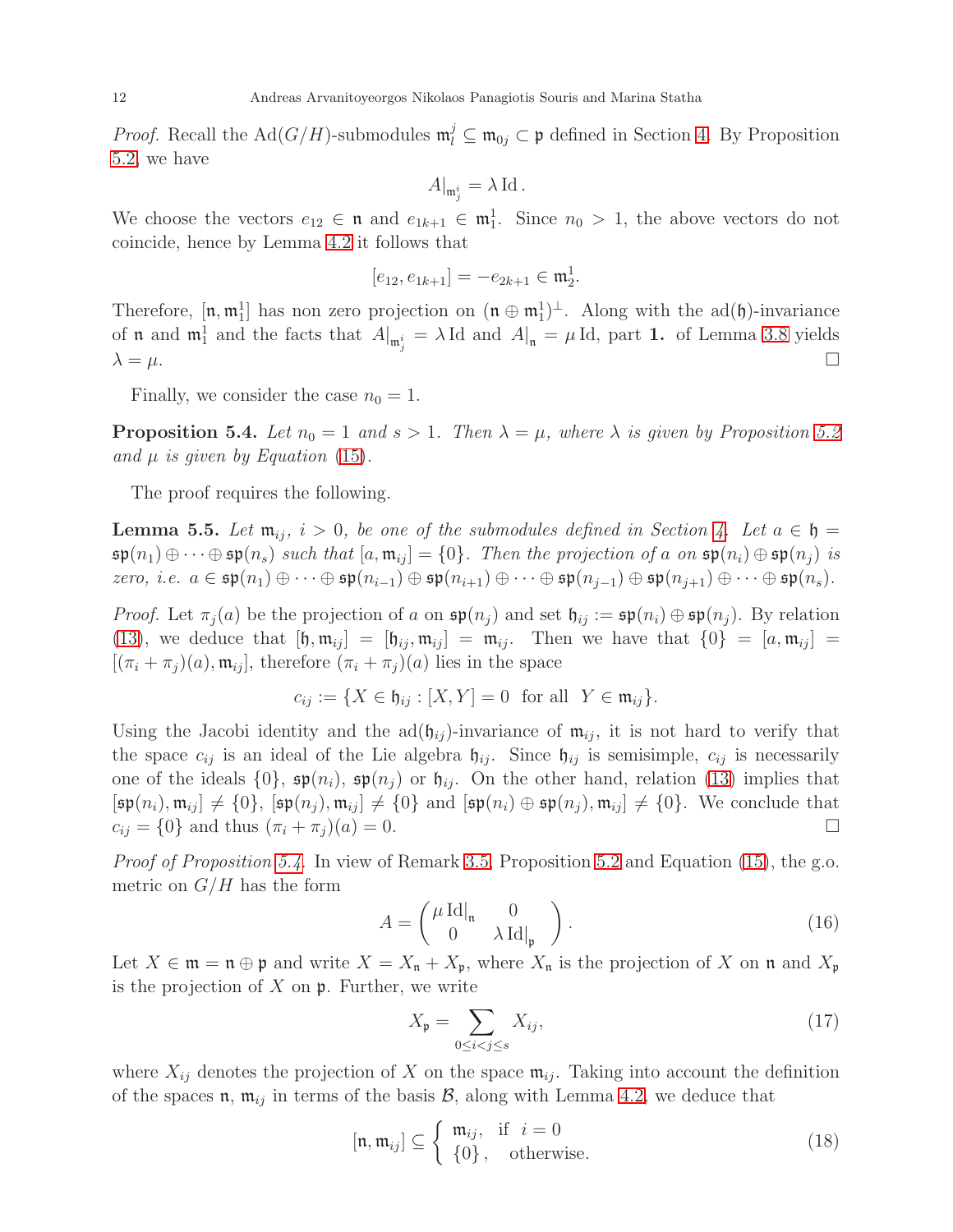*Proof.* Recall the Ad( $G/H$ )-submodules  $\mathfrak{m}_l^j \subseteq \mathfrak{m}_{0j} \subset \mathfrak{p}$  defined in Section [4.](#page-5-0) By Proposition [5.2,](#page-9-4) we have

$$
A|_{\mathfrak{m}_j^i} = \lambda \operatorname{Id}.
$$

We choose the vectors  $e_{12} \in \mathfrak{n}$  and  $e_{1k+1} \in \mathfrak{m}_1^1$ . Since  $n_0 > 1$ , the above vectors do not coincide, hence by Lemma [4.2](#page-8-1) it follows that

$$
[e_{12}, e_{1k+1}] = -e_{2k+1} \in \mathfrak{m}_2^1.
$$

Therefore,  $[\mathfrak{n}, \mathfrak{m}_1^1]$  has non zero projection on  $(\mathfrak{n} \oplus \mathfrak{m}_1^1)^{\perp}$ . Along with the ad $(\mathfrak{h})$ -invariance of **n** and  $\mathfrak{m}_1^1$  and the facts that  $A|_{\mathfrak{m}_j^i} = \lambda \text{Id}$  and  $A|_{\mathfrak{n}} = \mu \text{Id}$ , part 1. of Lemma [3.8](#page-5-2) yields  $\lambda = \mu$ .

Finally, we consider the case  $n_0 = 1$ .

<span id="page-11-0"></span>**Proposition 5.4.** Let  $n_0 = 1$  and  $s > 1$ . Then  $\lambda = \mu$ , where  $\lambda$  is given by Proposition [5.2](#page-9-4) and  $\mu$  is given by Equation [\(15\)](#page-10-1).

The proof requires the following.

<span id="page-11-4"></span>**Lemma 5.5.** Let  $\mathfrak{m}_{ii}$ ,  $i > 0$ , be one of the submodules defined in Section [4.](#page-5-0) Let  $a \in \mathfrak{h} =$  $\mathfrak{sp}(n_1) \oplus \cdots \oplus \mathfrak{sp}(n_s)$  such that  $[a, \mathfrak{m}_{ij}] = \{0\}$ . Then the projection of a on  $\mathfrak{sp}(n_i) \oplus \mathfrak{sp}(n_j)$  is zero, i.e.  $a \in \mathfrak{sp}(n_1) \oplus \cdots \oplus \mathfrak{sp}(n_{i-1}) \oplus \mathfrak{sp}(n_{i+1}) \oplus \cdots \oplus \mathfrak{sp}(n_{i-1}) \oplus \mathfrak{sp}(n_{i+1}) \oplus \cdots \oplus \mathfrak{sp}(n_s)$ .

*Proof.* Let  $\pi_i(a)$  be the projection of a on  $\mathfrak{sp}(n_i)$  and set  $\mathfrak{h}_{ij} := \mathfrak{sp}(n_i) \oplus \mathfrak{sp}(n_j)$ . By relation [\(13\)](#page-9-1), we deduce that  $[\mathfrak{h}, \mathfrak{m}_{ij}] = [\mathfrak{h}_{ij}, \mathfrak{m}_{ij}] = \mathfrak{m}_{ij}$ . Then we have that  $\{0\} = [a, \mathfrak{m}_{ij}] =$  $[(\pi_i + \pi_j)(a), \mathfrak{m}_{ij}]$ , therefore  $(\pi_i + \pi_j)(a)$  lies in the space

$$
c_{ij} := \{ X \in \mathfrak{h}_{ij} : [X, Y] = 0 \text{ for all } Y \in \mathfrak{m}_{ij} \}.
$$

Using the Jacobi identity and the  $ad(\mathfrak{h}_{ij})$ -invariance of  $\mathfrak{m}_{ij}$ , it is not hard to verify that the space  $c_{ij}$  is an ideal of the Lie algebra  $\mathfrak{h}_{ij}$ . Since  $\mathfrak{h}_{ij}$  is semisimple,  $c_{ij}$  is necessarily one of the ideals  $\{0\}$ ,  $\mathfrak{sp}(n_i)$ ,  $\mathfrak{sp}(n_j)$  or  $\mathfrak{h}_{ij}$ . On the other hand, relation [\(13\)](#page-9-1) implies that  $[\mathfrak{sp}(n_i), \mathfrak{m}_{ij}] \neq \{0\}, \ [\mathfrak{sp}(n_j), \mathfrak{m}_{ij}] \neq \{0\} \text{ and } [\mathfrak{sp}(n_i) \oplus \mathfrak{sp}(n_j), \mathfrak{m}_{ij}] \neq \{0\}.$  We conclude that  $c_{ij} = \{0\}$  and thus  $(\pi_i + \pi_j)(a) = 0$ .

Proof of Proposition [5.4](#page-11-0). In view of Remark [3.5,](#page-4-1) Proposition [5.2](#page-9-4) and Equation [\(15\)](#page-10-1), the g.o. metric on  $G/H$  has the form

<span id="page-11-1"></span>
$$
A = \begin{pmatrix} \mu \operatorname{Id}|_{\mathfrak{n}} & 0 \\ 0 & \lambda \operatorname{Id}|_{\mathfrak{p}} \end{pmatrix} . \tag{16}
$$

Let  $X \in \mathfrak{m} = \mathfrak{n} \oplus \mathfrak{p}$  and write  $X = X_{\mathfrak{n}} + X_{\mathfrak{p}}$ , where  $X_{\mathfrak{n}}$  is the projection of X on  $\mathfrak{n}$  and  $X_{\mathfrak{p}}$ is the projection of  $X$  on  $\mathfrak p$ . Further, we write

<span id="page-11-2"></span>
$$
X_{\mathfrak{p}} = \sum_{0 \le i < j \le s} X_{ij},\tag{17}
$$

where  $X_{ij}$  denotes the projection of X on the space  $\mathfrak{m}_{ij}$ . Taking into account the definition of the spaces  $\mathfrak{n}$ ,  $\mathfrak{m}_{ij}$  in terms of the basis  $\mathcal{B}$ , along with Lemma [4.2,](#page-8-1) we deduce that

<span id="page-11-3"></span>
$$
[\mathfrak{n}, \mathfrak{m}_{ij}] \subseteq \begin{cases} \mathfrak{m}_{ij}, & \text{if } i = 0 \\ \{0\}, & \text{otherwise.} \end{cases}
$$
 (18)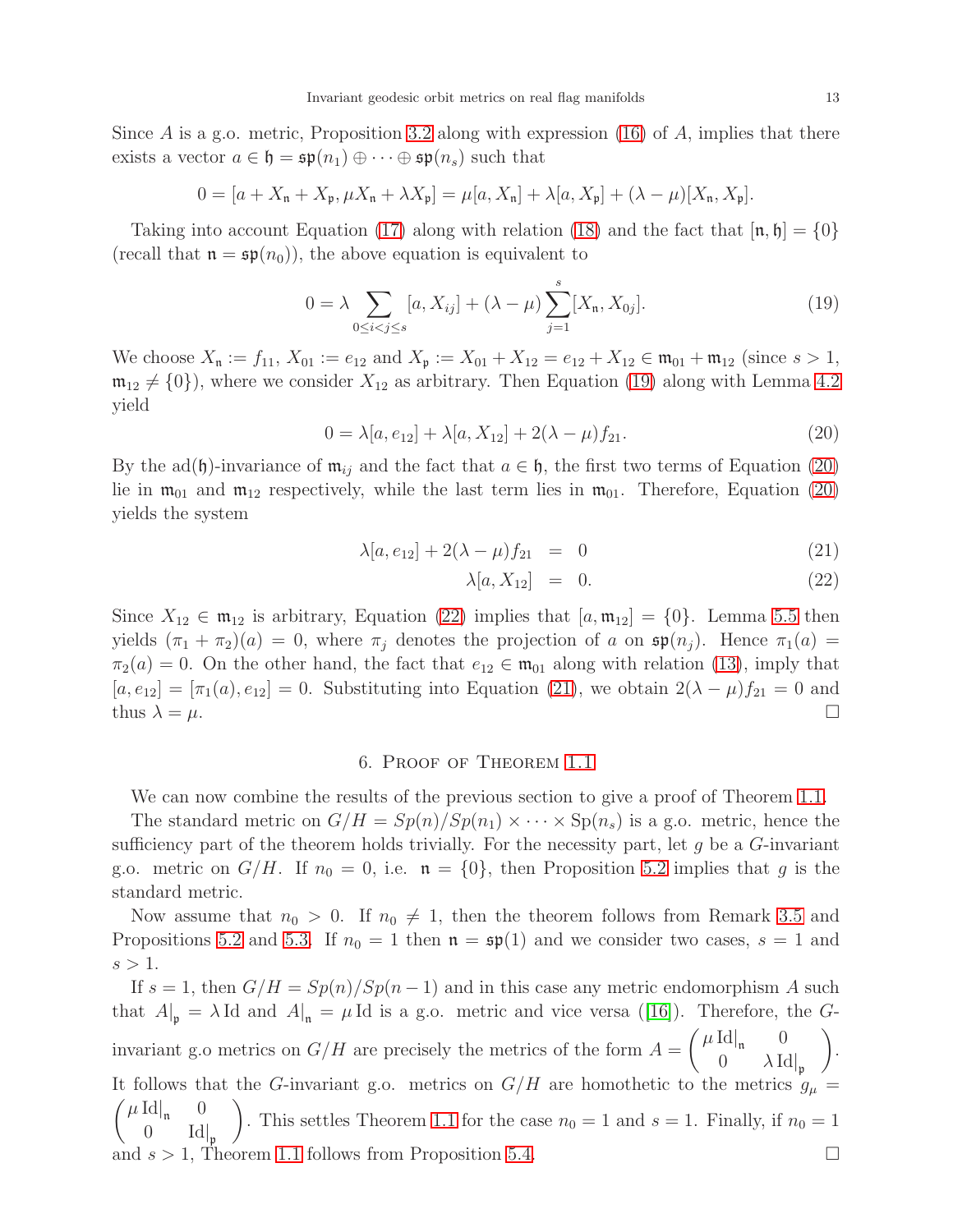Since A is a g.o. metric, Proposition [3.2](#page-3-1) along with expression  $(16)$  of A, implies that there exists a vector  $a \in \mathfrak{h} = \mathfrak{sp}(n_1) \oplus \cdots \oplus \mathfrak{sp}(n_s)$  such that

$$
0 = [a + X_{\mathfrak{n}} + X_{\mathfrak{p}}, \mu X_{\mathfrak{n}} + \lambda X_{\mathfrak{p}}] = \mu[a, X_{\mathfrak{n}}] + \lambda[a, X_{\mathfrak{p}}] + (\lambda - \mu)[X_{\mathfrak{n}}, X_{\mathfrak{p}}].
$$

Taking into account Equation [\(17\)](#page-11-2) along with relation [\(18\)](#page-11-3) and the fact that  $[\mathfrak{n}, \mathfrak{h}] = \{0\}$ (recall that  $\mathfrak{n} = \mathfrak{sp}(n_0)$ ), the above equation is equivalent to

<span id="page-12-1"></span>
$$
0 = \lambda \sum_{0 \le i < j \le s} [a, X_{ij}] + (\lambda - \mu) \sum_{j=1}^{s} [X_{n}, X_{0j}]. \tag{19}
$$

We choose  $X_{\mathfrak{n}} := f_{11}, X_{01} := e_{12}$  and  $X_{\mathfrak{p}} := X_{01} + X_{12} = e_{12} + X_{12} \in \mathfrak{m}_{01} + \mathfrak{m}_{12}$  (since  $s > 1$ ,  $\mathfrak{m}_{12} \neq \{0\}$ , where we consider  $X_{12}$  as arbitrary. Then Equation [\(19\)](#page-12-1) along with Lemma [4.2](#page-8-1) yield

<span id="page-12-2"></span>
$$
0 = \lambda[a, e_{12}] + \lambda[a, X_{12}] + 2(\lambda - \mu)f_{21}.
$$
\n(20)

By the ad(h)-invariance of  $\mathfrak{m}_{ij}$  and the fact that  $a \in \mathfrak{h}$ , the first two terms of Equation [\(20\)](#page-12-2) lie in  $\mathfrak{m}_{01}$  and  $\mathfrak{m}_{12}$  respectively, while the last term lies in  $\mathfrak{m}_{01}$ . Therefore, Equation [\(20\)](#page-12-2) yields the system

<span id="page-12-3"></span>
$$
\lambda[a, e_{12}] + 2(\lambda - \mu)f_{21} = 0 \tag{21}
$$

$$
\lambda[a, X_{12}] = 0. \tag{22}
$$

Since  $X_{12} \in \mathfrak{m}_{12}$  is arbitrary, Equation [\(22\)](#page-12-3) implies that  $[a, \mathfrak{m}_{12}] = \{0\}$ . Lemma [5.5](#page-11-4) then yields  $(\pi_1 + \pi_2)(a) = 0$ , where  $\pi_i$  denotes the projection of a on  $\mathfrak{sp}(n_i)$ . Hence  $\pi_1(a) =$  $\pi_2(a) = 0$ . On the other hand, the fact that  $e_{12} \in \mathfrak{m}_{01}$  along with relation [\(13\)](#page-9-1), imply that  $[a, e_{12}] = [\pi_1(a), e_{12}] = 0$ . Substituting into Equation [\(21\)](#page-12-3), we obtain  $2(\lambda - \mu)f_{21} = 0$  and thus  $\lambda = \mu$ .

## 6. Proof of Theorem [1.1](#page-1-0)

<span id="page-12-0"></span>We can now combine the results of the previous section to give a proof of Theorem [1.1.](#page-1-0)

The standard metric on  $G/H = Sp(n)/Sp(n_1) \times \cdots \times Sp(n_s)$  is a g.o. metric, hence the sufficiency part of the theorem holds trivially. For the necessity part, let  $g$  be a  $G$ -invariant g.o. metric on  $G/H$ . If  $n_0 = 0$ , i.e.  $\mathfrak{n} = \{0\}$ , then Proposition [5.2](#page-9-4) implies that g is the standard metric.

Now assume that  $n_0 > 0$ . If  $n_0 \neq 1$ , then the theorem follows from Remark [3.5](#page-4-1) and Propositions [5.2](#page-9-4) and [5.3.](#page-10-2) If  $n_0 = 1$  then  $\mathfrak{n} = \mathfrak{sp}(1)$  and we consider two cases,  $s = 1$  and  $s > 1$ .

If  $s = 1$ , then  $G/H = Sp(n)/Sp(n-1)$  and in this case any metric endomorphism A such that  $A|_{\mathfrak{p}} = \lambda \text{Id}$  and  $A|_{\mathfrak{n}} = \mu \text{Id}$  is a g.o. metric and vice versa ([\[16\]](#page-13-18)). Therefore, the Ginvariant g.o metrics on  $G/H$  are precisely the metrics of the form  $A =$  $\int \mu \, \mathrm{Id} |_{\mathfrak{n}} = 0$ 0  $\lambda \mathrm{Id}|_{\mathfrak{p}}$  $\setminus$ . It follows that the G-invariant g.o. metrics on  $G/H$  are homothetic to the metrics  $g_{\mu} =$  $\int \mu \, \mathrm{Id} |_{\mathfrak{n}} = 0$ 0 Id $|_{\mathfrak{p}}$  $\setminus$ . This settles Theorem [1.1](#page-1-0) for the case  $n_0 = 1$  and  $s = 1$ . Finally, if  $n_0 = 1$ and  $s > 1$ , Theorem [1.1](#page-1-0) follows from Proposition [5.4.](#page-11-0)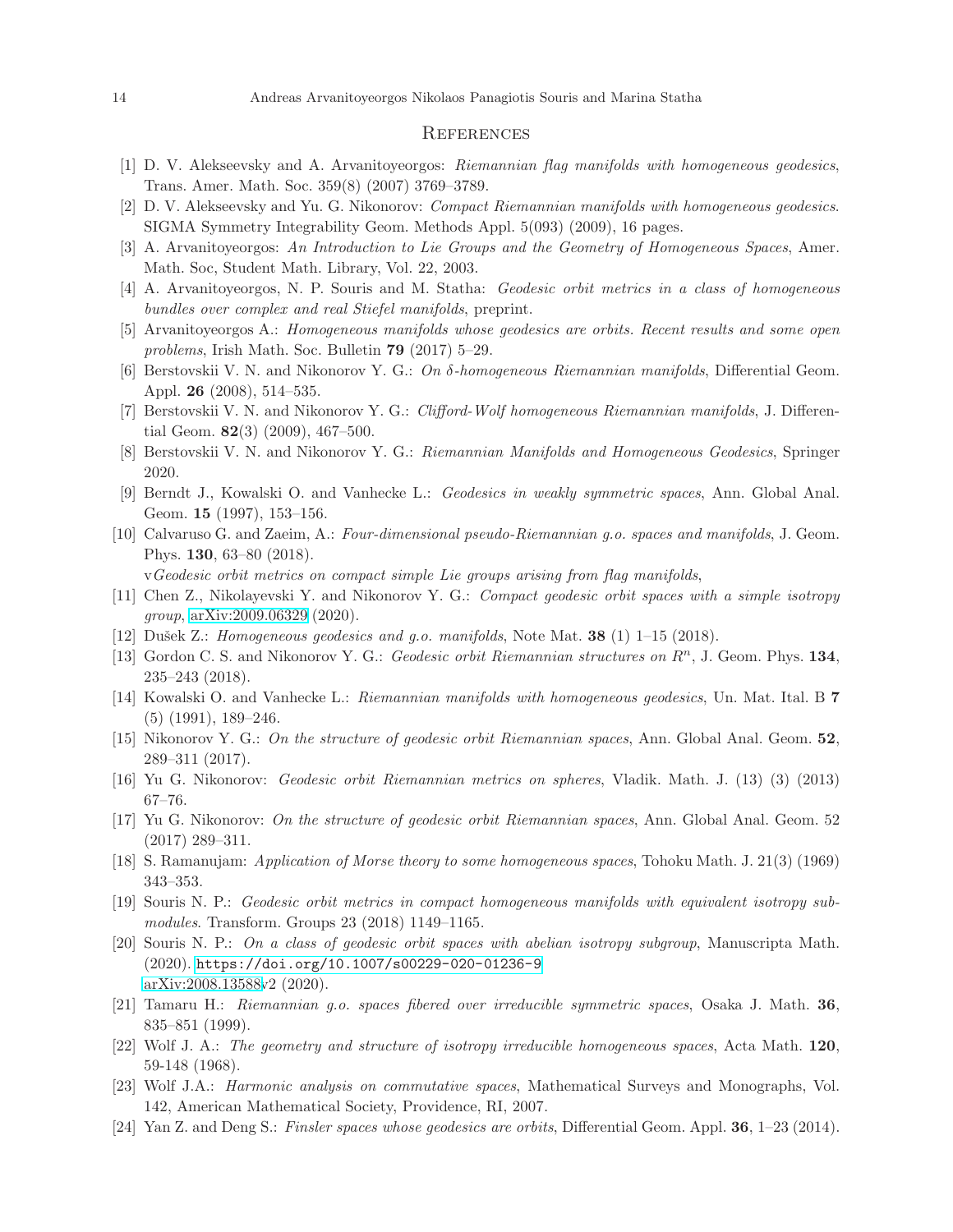### **REFERENCES**

- <span id="page-13-23"></span><span id="page-13-21"></span>[1] D. V. Alekseevsky and A. Arvanitoyeorgos: Riemannian flag manifolds with homogeneous geodesics, Trans. Amer. Math. Soc. 359(8) (2007) 3769–3789.
- <span id="page-13-20"></span>[2] D. V. Alekseevsky and Yu. G. Nikonorov: Compact Riemannian manifolds with homogeneous geodesics. SIGMA Symmetry Integrability Geom. Methods Appl. 5(093) (2009), 16 pages.
- <span id="page-13-16"></span>[3] A. Arvanitoyeorgos: An Introduction to Lie Groups and the Geometry of Homogeneous Spaces, Amer. Math. Soc, Student Math. Library, Vol. 22, 2003.
- <span id="page-13-10"></span>[4] A. Arvanitoyeorgos, N. P. Souris and M. Statha: Geodesic orbit metrics in a class of homogeneous bundles over complex and real Stiefel manifolds, preprint.
- <span id="page-13-8"></span>[5] Arvanitoyeorgos A.: Homogeneous manifolds whose geodesics are orbits. Recent results and some open problems, Irish Math. Soc. Bulletin 79 (2017) 5–29.
- <span id="page-13-9"></span>[6] Berstovskii V. N. and Nikonorov Y. G.: On δ-homogeneous Riemannian manifolds, Differential Geom. Appl. 26 (2008), 514–535.
- <span id="page-13-12"></span>[7] Berstovskii V. N. and Nikonorov Y. G.: *Clifford-Wolf homogeneous Riemannian manifolds*, J. Differential Geom. 82(3) (2009), 467–500.
- <span id="page-13-5"></span>[8] Berstovskii V. N. and Nikonorov Y. G.: Riemannian Manifolds and Homogeneous Geodesics, Springer 2020.
- <span id="page-13-2"></span>[9] Berndt J., Kowalski O. and Vanhecke L.: Geodesics in weakly symmetric spaces, Ann. Global Anal. Geom. 15 (1997), 153–156.
- [10] Calvaruso G. and Zaeim, A.: Four-dimensional pseudo-Riemannian g.o. spaces and manifolds, J. Geom. Phys. 130, 63–80 (2018).

vGeodesic orbit metrics on compact simple Lie groups arising from flag manifolds,

- <span id="page-13-14"></span><span id="page-13-4"></span>[11] Chen Z., Nikolayevski Y. and Nikonorov Y. G.: Compact geodesic orbit spaces with a simple isotropy group, [arXiv:2009.06329](http://arxiv.org/abs/2009.06329) (2020).
- <span id="page-13-1"></span>[12] Dušek Z.: Homogeneous geodesics and g.o. manifolds, Note Mat.  $38$  (1) 1–15 (2018).
- <span id="page-13-0"></span>[13] Gordon C. S. and Nikonorov Y. G.: *Geodesic orbit Riemannian structures on*  $R^n$ , J. Geom. Phys. 134, 235–243 (2018).
- <span id="page-13-11"></span>[14] Kowalski O. and Vanhecke L.: Riemannian manifolds with homogeneous geodesics, Un. Mat. Ital. B 7 (5) (1991), 189–246.
- <span id="page-13-18"></span>[15] Nikonorov Y. G.: On the structure of geodesic orbit Riemannian spaces, Ann. Global Anal. Geom. 52, 289–311 (2017).
- <span id="page-13-22"></span>[16] Yu G. Nikonorov: Geodesic orbit Riemannian metrics on spheres, Vladik. Math. J. (13) (3) (2013) 67–76.
- [17] Yu G. Nikonorov: On the structure of geodesic orbit Riemannian spaces, Ann. Global Anal. Geom. 52 (2017) 289–311.
- <span id="page-13-17"></span><span id="page-13-13"></span>[18] S. Ramanujam: Application of Morse theory to some homogeneous spaces, Tohoku Math. J. 21(3) (1969) 343–353.
- [19] Souris N. P.: Geodesic orbit metrics in compact homogeneous manifolds with equivalent isotropy submodules. Transform. Groups 23 (2018) 1149–1165.
- <span id="page-13-15"></span>[20] Souris N. P.: On a class of geodesic orbit spaces with abelian isotropy subgroup, Manuscripta Math. (2020). <https://doi.org/10.1007/s00229-020-01236-9> [arXiv:2008.13588v](http://arxiv.org/abs/2008.13588)2 (2020).
- <span id="page-13-19"></span>[21] Tamaru H.: Riemannian g.o. spaces fibered over irreducible symmetric spaces, Osaka J. Math. 36, 835–851 (1999).
- <span id="page-13-7"></span>[22] Wolf J. A.: The geometry and structure of isotropy irreducible homogeneous spaces, Acta Math. 120. 59-148 (1968).
- <span id="page-13-6"></span><span id="page-13-3"></span>[23] Wolf J.A.: Harmonic analysis on commutative spaces, Mathematical Surveys and Monographs, Vol. 142, American Mathematical Society, Providence, RI, 2007.
- [24] Yan Z. and Deng S.: Finsler spaces whose geodesics are orbits, Differential Geom. Appl. 36, 1–23 (2014).